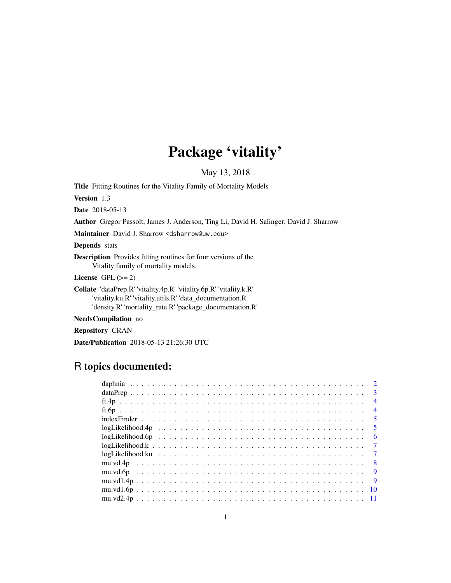## Package 'vitality'

May 13, 2018

<span id="page-0-0"></span>Title Fitting Routines for the Vitality Family of Mortality Models

Version 1.3

Date 2018-05-13

Author Gregor Passolt, James J. Anderson, Ting Li, David H. Salinger, David J. Sharrow

Maintainer David J. Sharrow <dsharrow@uw.edu>

Depends stats

Description Provides fitting routines for four versions of the Vitality family of mortality models.

License GPL  $(>= 2)$ 

Collate 'dataPrep.R' 'vitality.4p.R' 'vitality.6p.R' 'vitality.k.R' 'vitality.ku.R' 'vitality.utils.R' 'data\_documentation.R' 'density.R' 'mortality\_rate.R' 'package\_documentation.R'

NeedsCompilation no

Repository CRAN

Date/Publication 2018-05-13 21:26:30 UTC

## R topics documented:

|                                                                                                        |  |  |  |  |  |  |  |  |  |  |  |  |  |  |  |  |  |  |  | $\overline{3}$           |
|--------------------------------------------------------------------------------------------------------|--|--|--|--|--|--|--|--|--|--|--|--|--|--|--|--|--|--|--|--------------------------|
|                                                                                                        |  |  |  |  |  |  |  |  |  |  |  |  |  |  |  |  |  |  |  | $\overline{4}$           |
|                                                                                                        |  |  |  |  |  |  |  |  |  |  |  |  |  |  |  |  |  |  |  | $\overline{4}$           |
|                                                                                                        |  |  |  |  |  |  |  |  |  |  |  |  |  |  |  |  |  |  |  | $\overline{\phantom{0}}$ |
|                                                                                                        |  |  |  |  |  |  |  |  |  |  |  |  |  |  |  |  |  |  |  | $\sqrt{5}$               |
| $logLikelihood.6p \ldots \ldots \ldots \ldots \ldots \ldots \ldots \ldots \ldots \ldots \ldots \ldots$ |  |  |  |  |  |  |  |  |  |  |  |  |  |  |  |  |  |  |  | -6                       |
| $logLikelihood.k \ldots \ldots \ldots \ldots \ldots \ldots \ldots \ldots \ldots \ldots \ldots \ldots$  |  |  |  |  |  |  |  |  |  |  |  |  |  |  |  |  |  |  |  | $\overline{7}$           |
|                                                                                                        |  |  |  |  |  |  |  |  |  |  |  |  |  |  |  |  |  |  |  |                          |
|                                                                                                        |  |  |  |  |  |  |  |  |  |  |  |  |  |  |  |  |  |  |  | $\mathbf{8}$             |
|                                                                                                        |  |  |  |  |  |  |  |  |  |  |  |  |  |  |  |  |  |  |  | $\overline{9}$           |
|                                                                                                        |  |  |  |  |  |  |  |  |  |  |  |  |  |  |  |  |  |  |  | $\overline{9}$           |
|                                                                                                        |  |  |  |  |  |  |  |  |  |  |  |  |  |  |  |  |  |  |  |                          |
|                                                                                                        |  |  |  |  |  |  |  |  |  |  |  |  |  |  |  |  |  |  |  |                          |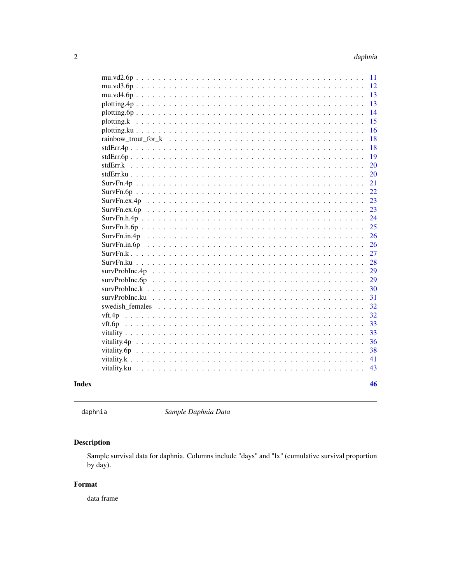<span id="page-1-0"></span>

| $mu.vd2.6p$     | 11 |
|-----------------|----|
| $mu.vd3.6p$     | 12 |
|                 | 13 |
|                 | 13 |
| $plotting.6p$   | 14 |
|                 | 15 |
|                 | 16 |
|                 | 18 |
| $stdErr.4p$     | 18 |
| $stdErr.6p$     | 19 |
|                 | 20 |
|                 | 20 |
|                 | 21 |
|                 | 22 |
| SurvFn.ex.4p    | 23 |
| SurvFn.ex.6p    | 23 |
|                 | 24 |
|                 | 25 |
| SurvFn.in.4p    | 26 |
| SurvFn.in.6p    | 26 |
|                 | 27 |
|                 | 28 |
|                 | 29 |
|                 | 29 |
|                 | 30 |
|                 | 31 |
| swedish females | 32 |
|                 | 32 |
|                 | 33 |
|                 | 33 |
|                 | 36 |
| vitality.6p     | 38 |
|                 | 41 |
| vitality.ku     | 43 |
|                 |    |
|                 | 46 |
|                 |    |

```
Index
```

```
daphnia
```
Sample Daphnia Data

### Description

Sample survival data for daphnia. Columns include "days" and "lx" (cumulative survival proportion by day).

### Format

data frame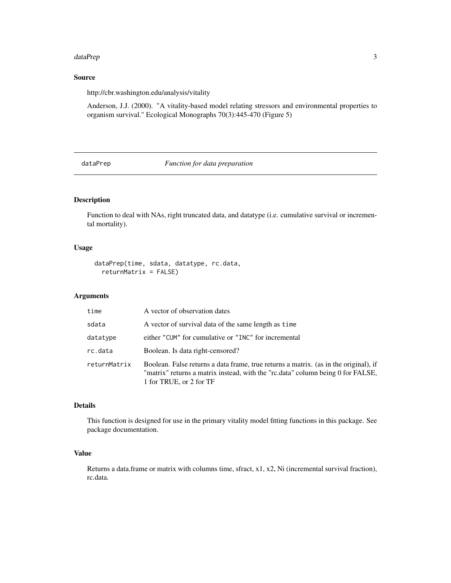#### <span id="page-2-0"></span>dataPrep 3

### Source

http://cbr.washington.edu/analysis/vitality

Anderson, J.J. (2000). "A vitality-based model relating stressors and environmental properties to organism survival." Ecological Monographs 70(3):445-470 (Figure 5)

dataPrep *Function for data preparation*

### Description

Function to deal with NAs, right truncated data, and datatype (i.e. cumulative survival or incremental mortality).

### Usage

```
dataPrep(time, sdata, datatype, rc.data,
 returnMatrix = FALSE)
```
### Arguments

| time         | A vector of observation dates                                                                                                                                                                      |
|--------------|----------------------------------------------------------------------------------------------------------------------------------------------------------------------------------------------------|
| sdata        | A vector of survival data of the same length as time                                                                                                                                               |
| datatype     | either "CUM" for cumulative or "INC" for incremental                                                                                                                                               |
| rc.data      | Boolean. Is data right-censored?                                                                                                                                                                   |
| returnMatrix | Boolean. False returns a data frame, true returns a matrix. (as in the original), if<br>"matrix" returns a matrix instead, with the "rc.data" column being 0 for FALSE,<br>1 for TRUE, or 2 for TF |

### Details

This function is designed for use in the primary vitality model fitting functions in this package. See package documentation.

### Value

Returns a data.frame or matrix with columns time, sfract,  $x1$ ,  $x2$ , Ni (incremental survival fraction), rc.data.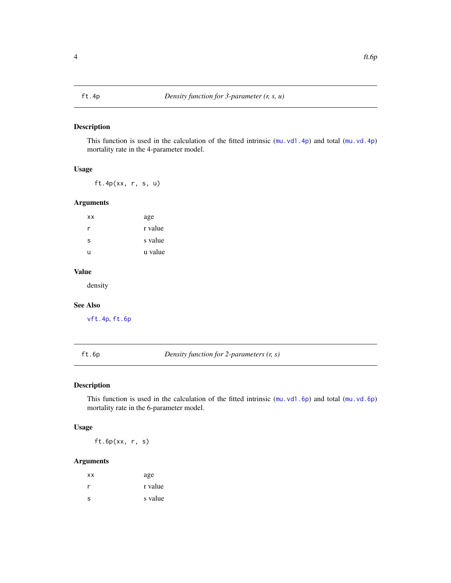<span id="page-3-2"></span><span id="page-3-0"></span>This function is used in the calculation of the fitted intrinsic ([mu.vd1.4p](#page-8-1)) and total ([mu.vd.4p](#page-7-1)) mortality rate in the 4-parameter model.

### Usage

ft.4p(xx, r, s, u)

#### Arguments

| <b>XX</b> | age     |
|-----------|---------|
| r         | r value |
| S         | s value |
| u         | u value |
|           |         |

### Value

density

#### See Also

[vft.4p](#page-31-1), [ft.6p](#page-3-1)

<span id="page-3-1"></span>ft.6p *Density function for 2-parameters (r, s)*

### Description

This function is used in the calculation of the fitted intrinsic ([mu.vd1.6p](#page-9-1)) and total ([mu.vd.6p](#page-8-2)) mortality rate in the 6-parameter model.

#### Usage

ft.6p(xx, r, s)

### Arguments

| ХX | age     |
|----|---------|
| r  | r value |
| s  | s value |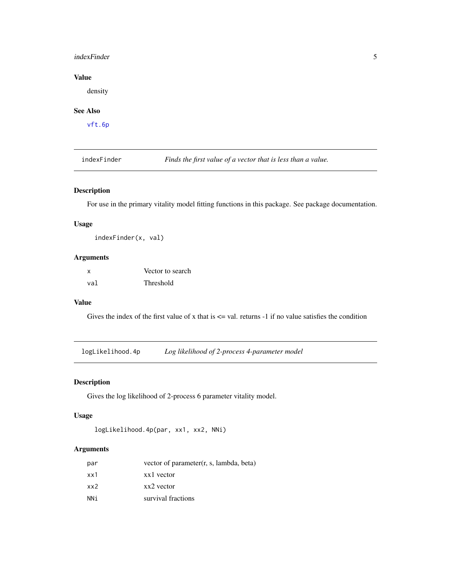### <span id="page-4-0"></span>indexFinder 5

### Value

density

### See Also

[vft.6p](#page-32-1)

indexFinder *Finds the first value of a vector that is less than a value.*

### Description

For use in the primary vitality model fitting functions in this package. See package documentation.

#### Usage

indexFinder(x, val)

#### Arguments

| x   | Vector to search |
|-----|------------------|
| val | Threshold        |

#### Value

Gives the index of the first value of x that is  $\leq$  val. returns -1 if no value satisfies the condition

<span id="page-4-1"></span>logLikelihood.4p *Log likelihood of 2-process 4-parameter model*

#### Description

Gives the log likelihood of 2-process 6 parameter vitality model.

#### Usage

```
logLikelihood.4p(par, xx1, xx2, NNi)
```
### Arguments

| par | vector of parameter $(r, s,$ lambda, beta) |
|-----|--------------------------------------------|
| xx1 | xx1 vector                                 |
| xx2 | xx2 vector                                 |
| NNi | survival fractions                         |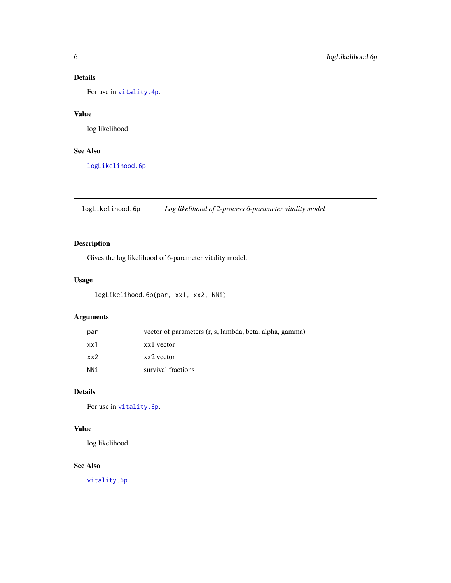### <span id="page-5-0"></span>Details

For use in [vitality.4p](#page-35-1).

### Value

log likelihood

### See Also

[logLikelihood.6p](#page-5-1)

<span id="page-5-1"></span>logLikelihood.6p *Log likelihood of 2-process 6-parameter vitality model*

### Description

Gives the log likelihood of 6-parameter vitality model.

### Usage

```
logLikelihood.6p(par, xx1, xx2, NNi)
```
### Arguments

| par | vector of parameters (r, s, lambda, beta, alpha, gamma) |
|-----|---------------------------------------------------------|
| xx1 | xx1 vector                                              |
| xx2 | xx2 vector                                              |
| NNi | survival fractions                                      |

### Details

For use in [vitality.6p](#page-37-1).

### Value

log likelihood

### See Also

[vitality.6p](#page-37-1)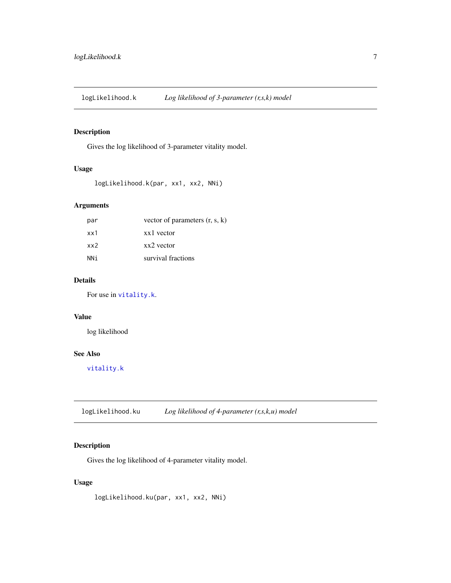<span id="page-6-1"></span><span id="page-6-0"></span>logLikelihood.k *Log likelihood of 3-parameter (r,s,k) model*

### Description

Gives the log likelihood of 3-parameter vitality model.

#### Usage

```
logLikelihood.k(par, xx1, xx2, NNi)
```
### Arguments

| par  | vector of parameters $(r, s, k)$ |
|------|----------------------------------|
| xx1  | xx1 vector                       |
| xx2  | xx2 vector                       |
| NN i | survival fractions               |

### Details

For use in [vitality.k](#page-40-1).

#### Value

log likelihood

#### See Also

[vitality.k](#page-40-1)

<span id="page-6-2"></span>logLikelihood.ku *Log likelihood of 4-parameter (r,s,k,u) model*

### Description

Gives the log likelihood of 4-parameter vitality model.

### Usage

logLikelihood.ku(par, xx1, xx2, NNi)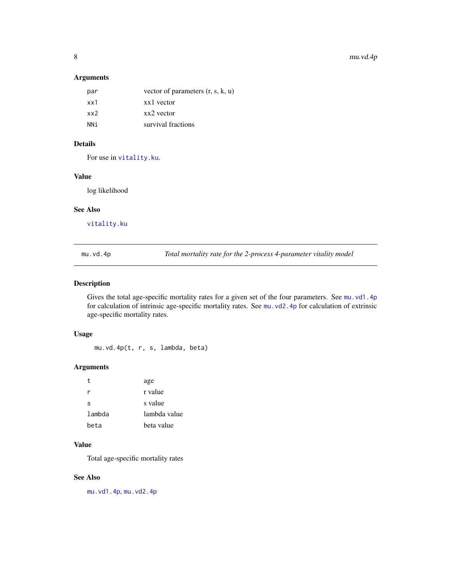### <span id="page-7-0"></span>Arguments

| par | vector of parameters $(r, s, k, u)$ |
|-----|-------------------------------------|
| xx1 | xx1 vector                          |
| xx2 | xx2 yector                          |
| NNi | survival fractions                  |
|     |                                     |

### Details

For use in [vitality.ku](#page-42-1).

#### Value

log likelihood

#### See Also

[vitality.ku](#page-42-1)

<span id="page-7-1"></span>mu.vd.4p *Total mortality rate for the 2-process 4-parameter vitality model*

#### Description

Gives the total age-specific mortality rates for a given set of the four parameters. See [mu.vd1.4p](#page-8-1) for calculation of intrinsic age-specific mortality rates. See [mu.vd2.4p](#page-10-1) for calculation of extrinsic age-specific mortality rates.

#### Usage

mu.vd.4p(t, r, s, lambda, beta)

#### Arguments

| t.     | age          |
|--------|--------------|
| r      | r value      |
| S      | s value      |
| lambda | lambda value |
| beta   | beta value   |

#### Value

Total age-specific mortality rates

#### See Also

[mu.vd1.4p](#page-8-1), [mu.vd2.4p](#page-10-1)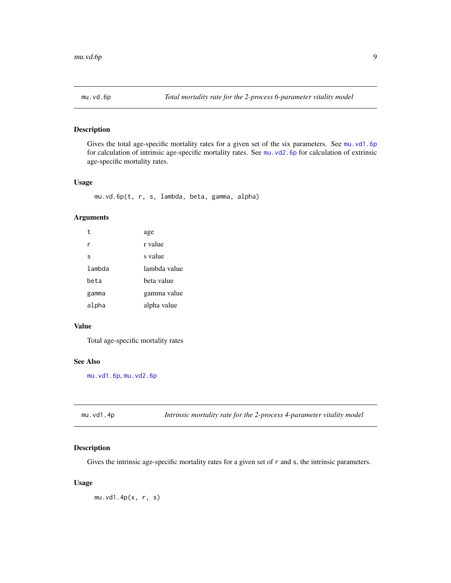<span id="page-8-2"></span><span id="page-8-0"></span>

Gives the total age-specific mortality rates for a given set of the six parameters. See [mu.vd1.6p](#page-9-1) for calculation of intrinsic age-specific mortality rates. See [mu.vd2.6p](#page-10-2) for calculation of extrinsic age-specific mortality rates.

#### Usage

mu.vd.6p(t, r, s, lambda, beta, gamma, alpha)

#### Arguments

| t      | age          |
|--------|--------------|
| r      | r value      |
| S      | s value      |
| lambda | lambda value |
| heta   | beta value   |
| gamma  | gamma value  |
| alpha  | alpha value  |

#### Value

Total age-specific mortality rates

### See Also

[mu.vd1.6p](#page-9-1), [mu.vd2.6p](#page-10-2)

<span id="page-8-1"></span>

| mu.vd1.4p | Intrinsic mortality rate for the 2-process 4-parameter vitality model |
|-----------|-----------------------------------------------------------------------|
|           |                                                                       |

### Description

Gives the intrinsic age-specific mortality rates for a given set of r and s, the intrinsic parameters.

### Usage

mu.vd1.4p(x, r, s)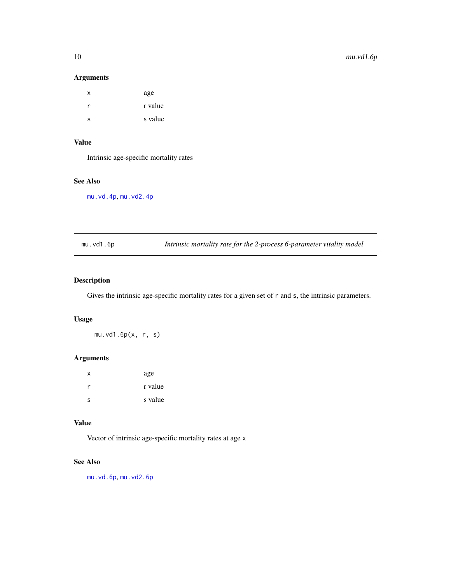### Arguments

| x | age     |
|---|---------|
| r | r value |
| S | s value |

### Value

Intrinsic age-specific mortality rates

#### See Also

[mu.vd.4p](#page-7-1), [mu.vd2.4p](#page-10-1)

<span id="page-9-1"></span>mu.vd1.6p *Intrinsic mortality rate for the 2-process 6-parameter vitality model*

### Description

Gives the intrinsic age-specific mortality rates for a given set of r and s, the intrinsic parameters.

### Usage

mu.vd1.6p(x, r, s)

### Arguments

| X | age     |
|---|---------|
| r | r value |
| S | s value |

### Value

Vector of intrinsic age-specific mortality rates at age x

### See Also

[mu.vd.6p](#page-8-2), [mu.vd2.6p](#page-10-2)

<span id="page-9-0"></span>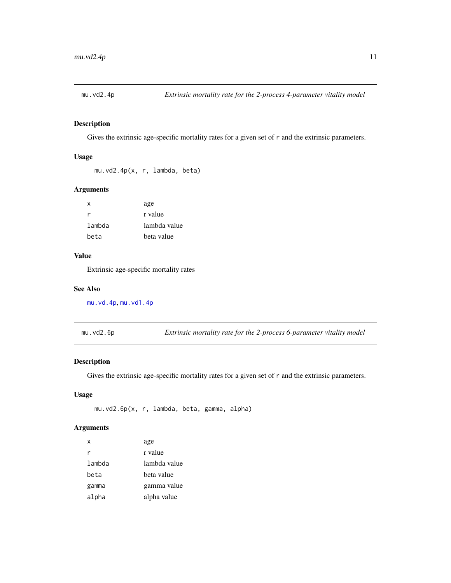<span id="page-10-1"></span><span id="page-10-0"></span>

Gives the extrinsic age-specific mortality rates for a given set of r and the extrinsic parameters.

#### Usage

```
mu.vd2.4p(x, r, lambda, beta)
```
### Arguments

| x      | age          |
|--------|--------------|
| r      | r value      |
| lambda | lambda value |
| beta   | beta value   |

### Value

Extrinsic age-specific mortality rates

#### See Also

[mu.vd.4p](#page-7-1), [mu.vd1.4p](#page-8-1)

<span id="page-10-2"></span>mu.vd2.6p *Extrinsic mortality rate for the 2-process 6-parameter vitality model*

#### Description

Gives the extrinsic age-specific mortality rates for a given set of r and the extrinsic parameters.

#### Usage

```
mu.vd2.6p(x, r, lambda, beta, gamma, alpha)
```
### Arguments

| x      | age          |
|--------|--------------|
| r      | r value      |
| lambda | lambda value |
| beta   | beta value   |
| gamma  | gamma value  |
| alpha  | alpha value  |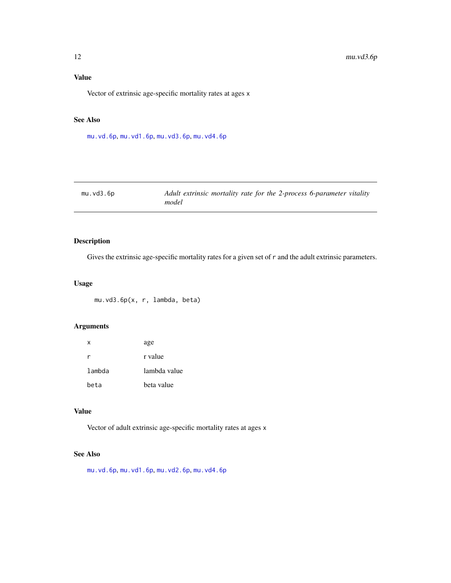### <span id="page-11-0"></span>Value

Vector of extrinsic age-specific mortality rates at ages x

### See Also

[mu.vd.6p](#page-8-2), [mu.vd1.6p](#page-9-1), [mu.vd3.6p](#page-11-1), [mu.vd4.6p](#page-12-1)

<span id="page-11-1"></span>

| mu.vd3.6p | Adult extrinsic mortality rate for the 2-process 6-parameter vitality |
|-----------|-----------------------------------------------------------------------|
|           | model                                                                 |

### Description

Gives the extrinsic age-specific mortality rates for a given set of r and the adult extrinsic parameters.

### Usage

mu.vd3.6p(x, r, lambda, beta)

### Arguments

| X      | age          |
|--------|--------------|
| r      | r value      |
| lambda | lambda value |
| beta   | beta value   |

#### Value

Vector of adult extrinsic age-specific mortality rates at ages x

### See Also

[mu.vd.6p](#page-8-2), [mu.vd1.6p](#page-9-1), [mu.vd2.6p](#page-10-2), [mu.vd4.6p](#page-12-1)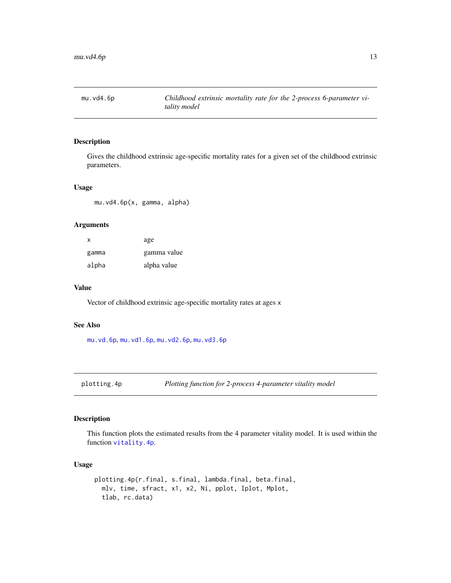<span id="page-12-1"></span><span id="page-12-0"></span>

Gives the childhood extrinsic age-specific mortality rates for a given set of the childhood extrinsic parameters.

#### Usage

mu.vd4.6p(x, gamma, alpha)

#### Arguments

| X     | age         |
|-------|-------------|
| gamma | gamma value |
| alpha | alpha value |

#### Value

Vector of childhood extrinsic age-specific mortality rates at ages x

#### See Also

[mu.vd.6p](#page-8-2), [mu.vd1.6p](#page-9-1), [mu.vd2.6p](#page-10-2), [mu.vd3.6p](#page-11-1)

plotting.4p *Plotting function for 2-process 4-parameter vitality model*

### Description

This function plots the estimated results from the 4 parameter vitality model. It is used within the function [vitality.4p](#page-35-1).

```
plotting.4p(r.final, s.final, lambda.final, beta.final,
 mlv, time, sfract, x1, x2, Ni, pplot, Iplot, Mplot,
 tlab, rc.data)
```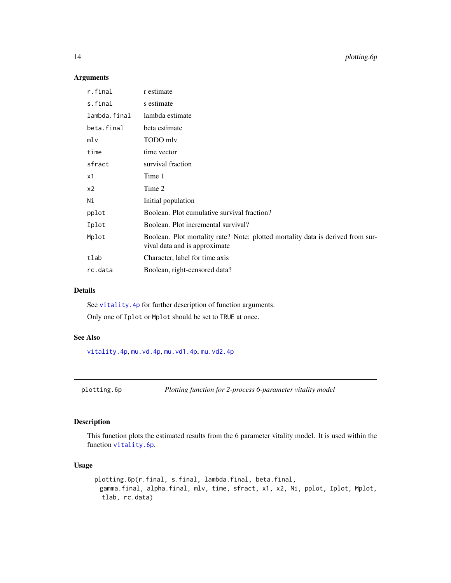### Arguments

| r.final      | r estimate                                                                                                       |
|--------------|------------------------------------------------------------------------------------------------------------------|
| s.final      | s estimate                                                                                                       |
| lambda.final | lambda estimate                                                                                                  |
| beta.final   | beta estimate                                                                                                    |
| mlv          | TODO mlv                                                                                                         |
| time         | time vector                                                                                                      |
| sfract       | survival fraction                                                                                                |
| x1           | Time 1                                                                                                           |
| x2           | Time 2                                                                                                           |
| Ni           | Initial population                                                                                               |
| pplot        | Boolean. Plot cumulative survival fraction?                                                                      |
| Iplot        | Boolean. Plot incremental survival?                                                                              |
| Mplot        | Boolean. Plot mortality rate? Note: plotted mortality data is derived from sur-<br>vival data and is approximate |
| tlab         | Character, label for time axis                                                                                   |
| rc.data      | Boolean, right-censored data?                                                                                    |

### Details

See vitality. 4p for further description of function arguments.

Only one of Iplot or Mplot should be set to TRUE at once.

### See Also

[vitality.4p](#page-35-1), [mu.vd.4p](#page-7-1), [mu.vd1.4p](#page-8-1), [mu.vd2.4p](#page-10-1)

plotting.6p *Plotting function for 2-process 6-parameter vitality model*

#### Description

This function plots the estimated results from the 6 parameter vitality model. It is used within the function [vitality.6p](#page-37-1).

```
plotting.6p(r.final, s.final, lambda.final, beta.final,
 gamma.final, alpha.final, mlv, time, sfract, x1, x2, Ni, pplot, Iplot, Mplot,
 tlab, rc.data)
```
<span id="page-13-0"></span>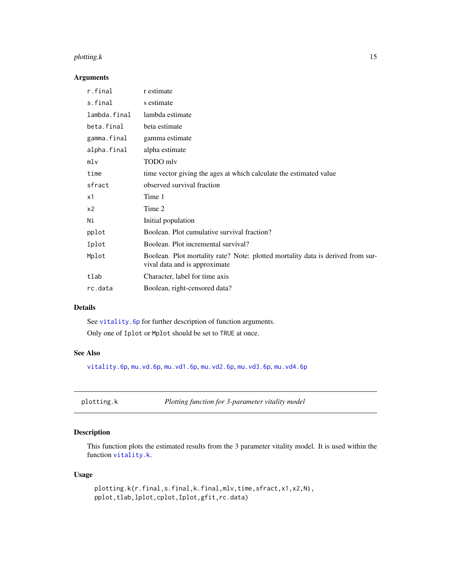#### <span id="page-14-0"></span>plotting.k 15

#### Arguments

| r.final        | r estimate                                                                                                       |
|----------------|------------------------------------------------------------------------------------------------------------------|
| s.final        | s estimate                                                                                                       |
| lambda.final   | lambda estimate                                                                                                  |
| beta.final     | beta estimate                                                                                                    |
| gamma.final    | gamma estimate                                                                                                   |
| alpha.final    | alpha estimate                                                                                                   |
| mlv            | TODO mlv                                                                                                         |
| time           | time vector giving the ages at which calculate the estimated value                                               |
| sfract         | observed survival fraction                                                                                       |
| x1             | Time 1                                                                                                           |
| x <sub>2</sub> | Time 2                                                                                                           |
| Ni             | Initial population                                                                                               |
| pplot          | Boolean. Plot cumulative survival fraction?                                                                      |
| Iplot          | Boolean. Plot incremental survival?                                                                              |
| Mplot          | Boolean. Plot mortality rate? Note: plotted mortality data is derived from sur-<br>vival data and is approximate |
| tlab           | Character, label for time axis                                                                                   |
| rc.data        | Boolean, right-censored data?                                                                                    |

### Details

See [vitality.6p](#page-37-1) for further description of function arguments. Only one of Iplot or Mplot should be set to TRUE at once.

### See Also

[vitality.6p](#page-37-1), [mu.vd.6p](#page-8-2), [mu.vd1.6p](#page-9-1), [mu.vd2.6p](#page-10-2), [mu.vd3.6p](#page-11-1), [mu.vd4.6p](#page-12-1)

### Description

This function plots the estimated results from the 3 parameter vitality model. It is used within the function [vitality.k](#page-40-1).

```
plotting.k(r.final,s.final,k.final,mlv,time,sfract,x1,x2,Ni,
pplot,tlab,lplot,cplot,Iplot,gfit,rc.data)
```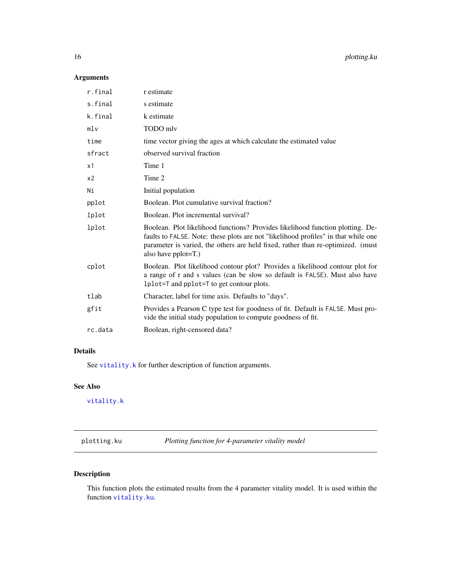#### <span id="page-15-0"></span>Arguments

| r.final        | r estimate                                                                                                                                                                                                                                                                        |
|----------------|-----------------------------------------------------------------------------------------------------------------------------------------------------------------------------------------------------------------------------------------------------------------------------------|
| s.final        | s estimate                                                                                                                                                                                                                                                                        |
| k.final        | k estimate                                                                                                                                                                                                                                                                        |
| mlv            | TODO mlv                                                                                                                                                                                                                                                                          |
| time           | time vector giving the ages at which calculate the estimated value                                                                                                                                                                                                                |
| sfract         | observed survival fraction                                                                                                                                                                                                                                                        |
| x1             | Time 1                                                                                                                                                                                                                                                                            |
| x <sub>2</sub> | Time 2                                                                                                                                                                                                                                                                            |
| Ni             | Initial population                                                                                                                                                                                                                                                                |
| pplot          | Boolean. Plot cumulative survival fraction?                                                                                                                                                                                                                                       |
| Iplot          | Boolean. Plot incremental survival?                                                                                                                                                                                                                                               |
| lplot          | Boolean. Plot likelihood functions? Provides likelihood function plotting. De-<br>faults to FALSE. Note: these plots are not "likelihood profiles" in that while one<br>parameter is varied, the others are held fixed, rather than re-optimized. (must<br>also have $pplot=T$ .) |
| cplot          | Boolean. Plot likelihood contour plot? Provides a likelihood contour plot for<br>a range of r and s values (can be slow so default is FALSE). Must also have<br>1 plot = T and pplot = T to get contour plots.                                                                    |
| tlab           | Character, label for time axis. Defaults to "days".                                                                                                                                                                                                                               |
| gfit           | Provides a Pearson C type test for goodness of fit. Default is FALSE. Must pro-<br>vide the initial study population to compute goodness of fit.                                                                                                                                  |
| rc.data        | Boolean, right-censored data?                                                                                                                                                                                                                                                     |
|                |                                                                                                                                                                                                                                                                                   |

### Details

See [vitality.k](#page-40-1) for further description of function arguments.

### See Also

[vitality.k](#page-40-1)

plotting.ku *Plotting function for 4-parameter vitality model*

### Description

This function plots the estimated results from the 4 parameter vitality model. It is used within the function [vitality.ku](#page-42-1).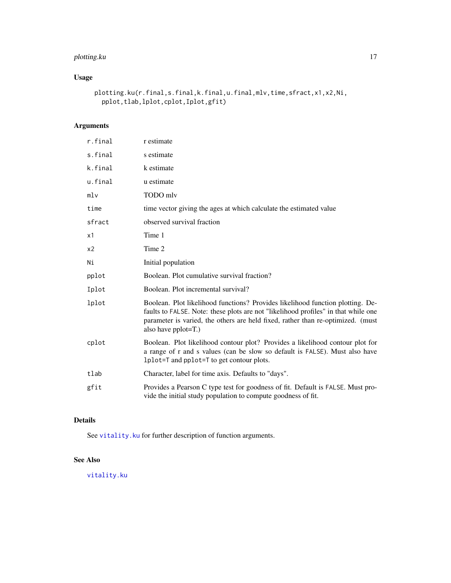### <span id="page-16-0"></span>plotting.ku 17

### Usage

```
plotting.ku(r.final,s.final,k.final,u.final,mlv,time,sfract,x1,x2,Ni,
 pplot,tlab,lplot,cplot,Iplot,gfit)
```
### Arguments

| r.final | r estimate                                                                                                                                                                                                                                                                     |
|---------|--------------------------------------------------------------------------------------------------------------------------------------------------------------------------------------------------------------------------------------------------------------------------------|
| s.final | s estimate                                                                                                                                                                                                                                                                     |
| k.final | k estimate                                                                                                                                                                                                                                                                     |
| u.final | u estimate                                                                                                                                                                                                                                                                     |
| mlv     | TODO mlv                                                                                                                                                                                                                                                                       |
| time    | time vector giving the ages at which calculate the estimated value                                                                                                                                                                                                             |
| sfract  | observed survival fraction                                                                                                                                                                                                                                                     |
| x1      | Time 1                                                                                                                                                                                                                                                                         |
| x2      | Time 2                                                                                                                                                                                                                                                                         |
| Ni      | Initial population                                                                                                                                                                                                                                                             |
| pplot   | Boolean. Plot cumulative survival fraction?                                                                                                                                                                                                                                    |
| Iplot   | Boolean. Plot incremental survival?                                                                                                                                                                                                                                            |
| lplot   | Boolean. Plot likelihood functions? Provides likelihood function plotting. De-<br>faults to FALSE. Note: these plots are not "likelihood profiles" in that while one<br>parameter is varied, the others are held fixed, rather than re-optimized. (must<br>also have pplot=T.) |
| cplot   | Boolean. Plot likelihood contour plot? Provides a likelihood contour plot for<br>a range of r and s values (can be slow so default is FALSE). Must also have<br>1 plot = T and pplot = T to get contour plots.                                                                 |
| tlab    | Character, label for time axis. Defaults to "days".                                                                                                                                                                                                                            |
| gfit    | Provides a Pearson C type test for goodness of fit. Default is FALSE. Must pro-<br>vide the initial study population to compute goodness of fit.                                                                                                                               |

### Details

See [vitality.ku](#page-42-1) for further description of function arguments.

### See Also

[vitality.ku](#page-42-1)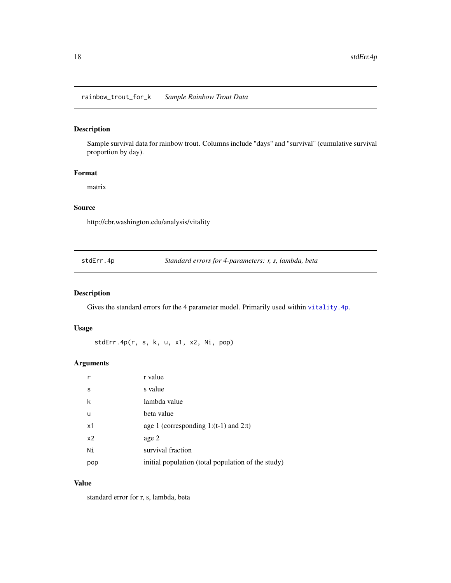<span id="page-17-0"></span>Sample survival data for rainbow trout. Columns include "days" and "survival" (cumulative survival proportion by day).

### Format

matrix

#### Source

http://cbr.washington.edu/analysis/vitality

stdErr.4p *Standard errors for 4-parameters: r, s, lambda, beta*

#### Description

Gives the standard errors for the 4 parameter model. Primarily used within [vitality.4p](#page-35-1).

### Usage

stdErr.4p(r, s, k, u, x1, x2, Ni, pop)

#### Arguments

|                | r value                                            |
|----------------|----------------------------------------------------|
| S              | s value                                            |
| k              | lambda value                                       |
| u              | beta value                                         |
| x1             | age 1 (corresponding 1: $(t-1)$ and 2:t)           |
| x <sub>2</sub> | age 2                                              |
| Ni             | survival fraction                                  |
| pop            | initial population (total population of the study) |

#### Value

standard error for r, s, lambda, beta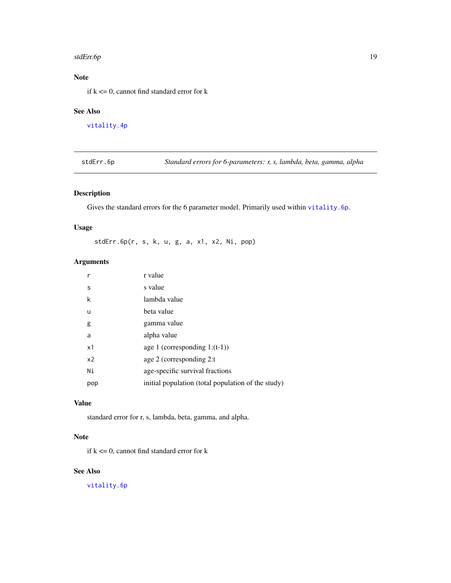#### <span id="page-18-0"></span>stdErr.6p 19

### Note

if  $k \leq 0$ , cannot find standard error for k

#### See Also

[vitality.4p](#page-35-1)

stdErr.6p *Standard errors for 6-parameters: r, s, lambda, beta, gamma, alpha*

### Description

Gives the standard errors for the 6 parameter model. Primarily used within [vitality.6p](#page-37-1).

### Usage

stdErr.6p(r, s, k, u, g, a, x1, x2, Ni, pop)

### Arguments

| r              | r value                                            |
|----------------|----------------------------------------------------|
| S              | s value                                            |
| k              | lambda value                                       |
| u              | beta value                                         |
| g              | gamma value                                        |
| a              | alpha value                                        |
| x1             | age 1 (corresponding $1:(t-1))$ )                  |
| x <sub>2</sub> | age 2 (corresponding 2:t)                          |
| Ni             | age-specific survival fractions                    |
| pop            | initial population (total population of the study) |

#### Value

standard error for r, s, lambda, beta, gamma, and alpha.

### Note

if  $k \leq 0$ , cannot find standard error for k

### See Also

[vitality.6p](#page-37-1)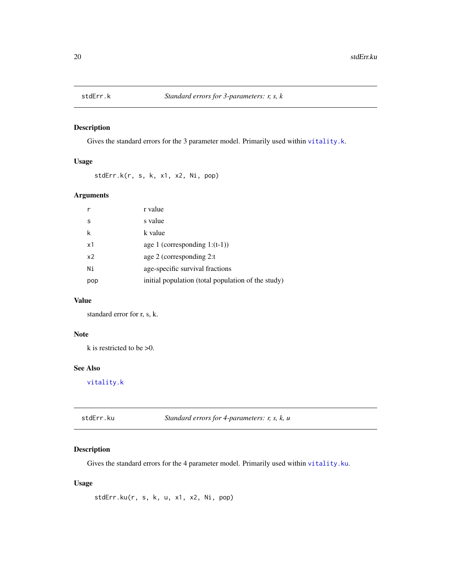<span id="page-19-0"></span>

Gives the standard errors for the 3 parameter model. Primarily used within [vitality.k](#page-40-1).

### Usage

stdErr.k(r, s, k, x1, x2, Ni, pop)

#### Arguments

| r              | r value                                            |
|----------------|----------------------------------------------------|
| S              | s value                                            |
| k              | k value                                            |
| x1             | age 1 (corresponding $1:(t-1))$ )                  |
| x <sub>2</sub> | age 2 (corresponding 2:t)                          |
| Ni             | age-specific survival fractions                    |
| pop            | initial population (total population of the study) |

### Value

standard error for r, s, k.

#### Note

k is restricted to be >0.

#### See Also

[vitality.k](#page-40-1)

| stdErr.ku | Standard errors for 4-parameters: $r$ , $s$ , $k$ , $u$ |
|-----------|---------------------------------------------------------|
|-----------|---------------------------------------------------------|

### Description

Gives the standard errors for the 4 parameter model. Primarily used within [vitality.ku](#page-42-1).

### Usage

stdErr.ku(r, s, k, u, x1, x2, Ni, pop)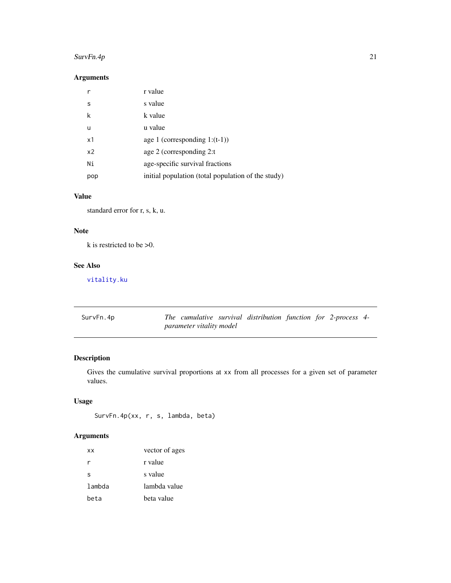### <span id="page-20-0"></span> $SurvFn.4p$  21

### Arguments

|                | r value                                            |
|----------------|----------------------------------------------------|
| S              | s value                                            |
| k              | k value                                            |
| u              | u value                                            |
| x1             | age 1 (corresponding $1:(t-1))$ )                  |
| x <sub>2</sub> | age 2 (corresponding 2:t)                          |
| Ni             | age-specific survival fractions                    |
| pop            | initial population (total population of the study) |

#### Value

standard error for r, s, k, u.

### Note

k is restricted to be >0.

### See Also

[vitality.ku](#page-42-1)

<span id="page-20-1"></span>

| SurvFn.4p |                          | The cumulative survival distribution function for 2-process 4- |  |  |
|-----------|--------------------------|----------------------------------------------------------------|--|--|
|           | parameter vitality model |                                                                |  |  |

### Description

Gives the cumulative survival proportions at xx from all processes for a given set of parameter values.

### Usage

```
SurvFn.4p(xx, r, s, lambda, beta)
```
### Arguments

| ХX     | vector of ages |
|--------|----------------|
| r      | r value        |
| S      | s value        |
| lambda | lambda value   |
| beta   | beta value     |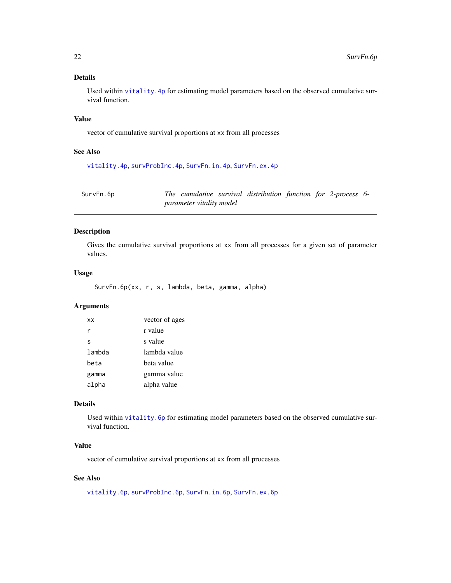### Details

Used within [vitality.4p](#page-35-1) for estimating model parameters based on the observed cumulative survival function.

#### Value

vector of cumulative survival proportions at xx from all processes

#### See Also

[vitality.4p](#page-35-1), [survProbInc.4p](#page-28-1), [SurvFn.in.4p](#page-25-1), [SurvFn.ex.4p](#page-22-1)

<span id="page-21-1"></span>

| SurvFn.6p |                          | The cumulative survival distribution function for 2-process 6- |  |  |
|-----------|--------------------------|----------------------------------------------------------------|--|--|
|           | parameter vitality model |                                                                |  |  |

### Description

Gives the cumulative survival proportions at xx from all processes for a given set of parameter values.

#### Usage

SurvFn.6p(xx, r, s, lambda, beta, gamma, alpha)

#### Arguments

| <b>XX</b> | vector of ages |
|-----------|----------------|
| r         | r value        |
| S         | s value        |
| lambda    | lambda value   |
| beta      | beta value     |
| gamma     | gamma value    |
| alpha     | alpha value    |

#### Details

Used within [vitality.6p](#page-37-1) for estimating model parameters based on the observed cumulative survival function.

#### Value

vector of cumulative survival proportions at xx from all processes

### See Also

[vitality.6p](#page-37-1), [survProbInc.6p](#page-28-2), [SurvFn.in.6p](#page-25-2), [SurvFn.ex.6p](#page-22-2)

<span id="page-21-0"></span>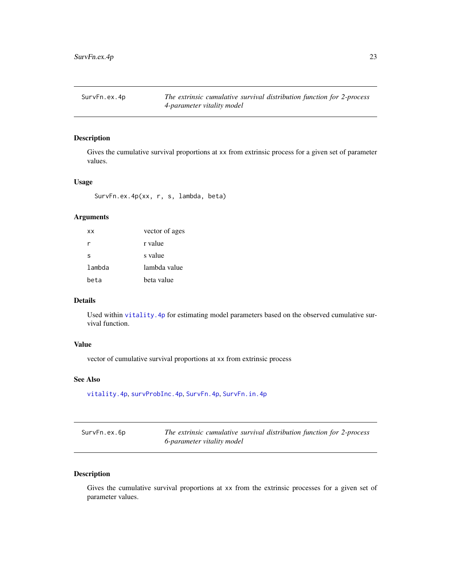<span id="page-22-1"></span><span id="page-22-0"></span>SurvFn.ex.4p *The extrinsic cumulative survival distribution function for 2-process 4-parameter vitality model*

#### Description

Gives the cumulative survival proportions at xx from extrinsic process for a given set of parameter values.

#### Usage

SurvFn.ex.4p(xx, r, s, lambda, beta)

### Arguments

| <b>XX</b> | vector of ages |
|-----------|----------------|
| r         | r value        |
| S         | s value        |
| lambda    | lambda value   |
| beta      | beta value     |

### Details

Used within [vitality.4p](#page-35-1) for estimating model parameters based on the observed cumulative survival function.

#### Value

vector of cumulative survival proportions at xx from extrinsic process

#### See Also

[vitality.4p](#page-35-1), [survProbInc.4p](#page-28-1), [SurvFn.4p](#page-20-1), [SurvFn.in.4p](#page-25-1)

<span id="page-22-2"></span>

| SurvFn.ex.6p | The extrinsic cumulative survival distribution function for 2-process |
|--------------|-----------------------------------------------------------------------|
|              | 6-parameter vitality model                                            |

### Description

Gives the cumulative survival proportions at xx from the extrinsic processes for a given set of parameter values.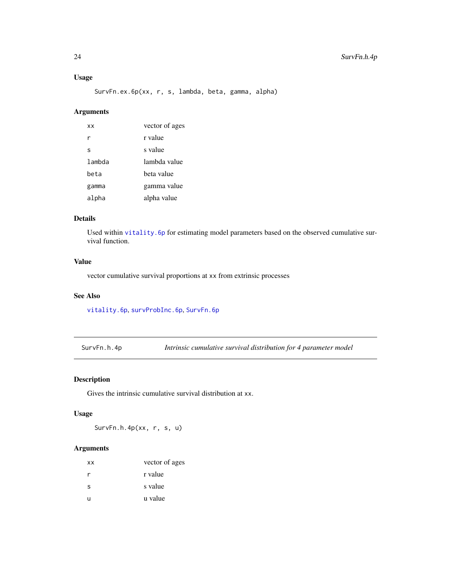### <span id="page-23-0"></span>Usage

SurvFn.ex.6p(xx, r, s, lambda, beta, gamma, alpha)

### Arguments

| ХX     | vector of ages |
|--------|----------------|
| r      | r value        |
| S      | s value        |
| lambda | lambda value   |
| beta   | beta value     |
| gamma  | gamma value    |
| alpha  | alpha value    |

### Details

Used within [vitality.6p](#page-37-1) for estimating model parameters based on the observed cumulative survival function.

### Value

vector cumulative survival proportions at xx from extrinsic processes

### See Also

[vitality.6p](#page-37-1), [survProbInc.6p](#page-28-2), [SurvFn.6p](#page-21-1)

SurvFn.h.4p *Intrinsic cumulative survival distribution for 4 parameter model*

#### Description

Gives the intrinsic cumulative survival distribution at xx.

#### Usage

SurvFn.h.4p(xx, r, s, u)

#### Arguments

| vector of ages |
|----------------|
| r value        |
| s value        |
| u value        |
|                |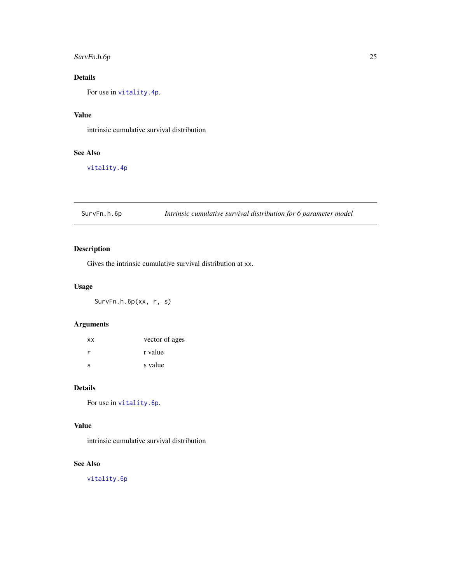### <span id="page-24-0"></span>SurvFn.h.6p 25

### Details

For use in [vitality.4p](#page-35-1).

### Value

intrinsic cumulative survival distribution

### See Also

[vitality.4p](#page-35-1)

SurvFn.h.6p *Intrinsic cumulative survival distribution for 6 parameter model*

### Description

Gives the intrinsic cumulative survival distribution at xx.

### Usage

SurvFn.h.6p(xx, r, s)

### Arguments

| <b>XX</b> | vector of ages |
|-----------|----------------|
|           | r value        |
| S         | s value        |

### Details

For use in [vitality.6p](#page-37-1).

### Value

intrinsic cumulative survival distribution

### See Also

[vitality.6p](#page-37-1)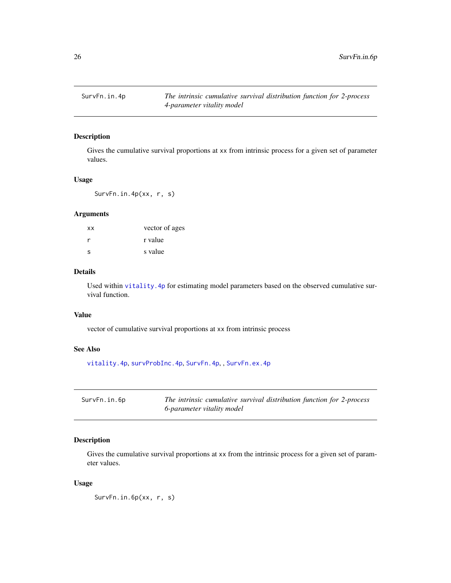<span id="page-25-1"></span><span id="page-25-0"></span>

Gives the cumulative survival proportions at xx from intrinsic process for a given set of parameter values.

#### Usage

SurvFn.in.4p(xx, r, s)

### Arguments

| xx           | vector of ages |
|--------------|----------------|
| r            | r value        |
| <sub>S</sub> | s value        |

### Details

Used within [vitality.4p](#page-35-1) for estimating model parameters based on the observed cumulative survival function.

#### Value

vector of cumulative survival proportions at xx from intrinsic process

### See Also

[vitality.4p](#page-35-1), [survProbInc.4p](#page-28-1), [SurvFn.4p](#page-20-1), , [SurvFn.ex.4p](#page-22-1)

<span id="page-25-2"></span>

| SurvFn.in.6p | The intrinsic cumulative survival distribution function for 2-process |
|--------------|-----------------------------------------------------------------------|
|              | 6-parameter vitality model                                            |

### Description

Gives the cumulative survival proportions at xx from the intrinsic process for a given set of parameter values.

### Usage

SurvFn.in.6p(xx, r, s)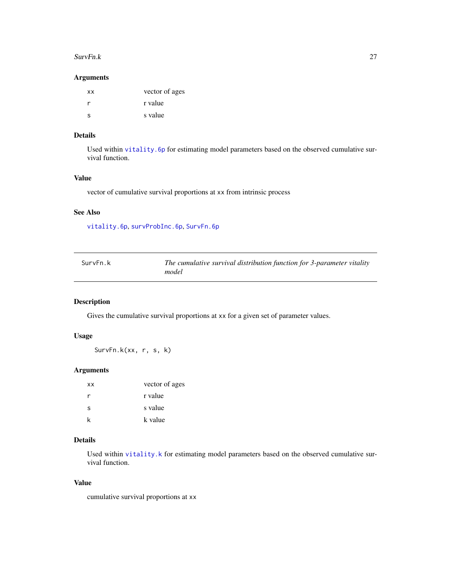#### <span id="page-26-0"></span>SurvFn.k 27

#### Arguments

| <b>XX</b> | vector of ages |
|-----------|----------------|
|           | r value        |
| ς         | s value        |

### Details

Used within [vitality.6p](#page-37-1) for estimating model parameters based on the observed cumulative survival function.

### Value

vector of cumulative survival proportions at xx from intrinsic process

#### See Also

[vitality.6p](#page-37-1), [survProbInc.6p](#page-28-2), [SurvFn.6p](#page-21-1)

| SurvFn.k | The cumulative survival distribution function for 3-parameter vitality |
|----------|------------------------------------------------------------------------|
|          | model                                                                  |

### Description

Gives the cumulative survival proportions at xx for a given set of parameter values.

#### Usage

SurvFn.k(xx, r, s, k)

#### Arguments

| <b>XX</b> | vector of ages |
|-----------|----------------|
| r         | r value        |
| S         | s value        |
| k         | k value        |

### Details

Used within [vitality.k](#page-40-1) for estimating model parameters based on the observed cumulative survival function.

### Value

cumulative survival proportions at xx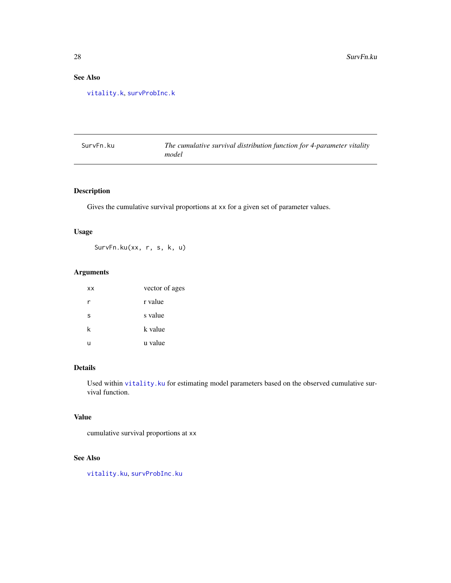### <span id="page-27-0"></span>See Also

[vitality.k](#page-40-1), [survProbInc.k](#page-29-1)

| SurvFn.ku | The cumulative survival distribution function for 4-parameter vitality |
|-----------|------------------------------------------------------------------------|
|           | model                                                                  |

### Description

Gives the cumulative survival proportions at xx for a given set of parameter values.

### Usage

SurvFn.ku(xx, r, s, k, u)

### Arguments

| XX | vector of ages |
|----|----------------|
| r  | r value        |
| S  | s value        |
| k  | k value        |
| u  | u value        |

#### Details

Used within [vitality.ku](#page-42-1) for estimating model parameters based on the observed cumulative survival function.

### Value

cumulative survival proportions at xx

### See Also

[vitality.ku](#page-42-1), [survProbInc.ku](#page-30-1)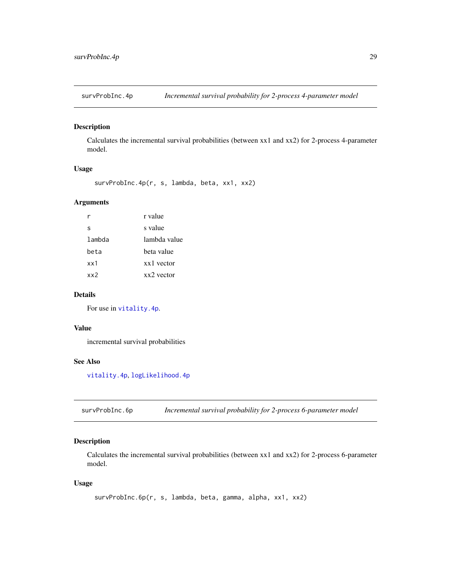<span id="page-28-1"></span><span id="page-28-0"></span>

Calculates the incremental survival probabilities (between xx1 and xx2) for 2-process 4-parameter model.

#### Usage

```
survProbInc.4p(r, s, lambda, beta, xx1, xx2)
```
### Arguments

|        | r value      |
|--------|--------------|
| s      | s value      |
| lambda | lambda value |
| beta   | beta value   |
| xx1    | xx1 yector   |
| xx2    | $xx2$ vector |

#### Details

For use in [vitality.4p](#page-35-1).

#### Value

incremental survival probabilities

### See Also

[vitality.4p](#page-35-1), [logLikelihood.4p](#page-4-1)

<span id="page-28-2"></span>survProbInc.6p *Incremental survival probability for 2-process 6-parameter model*

### Description

Calculates the incremental survival probabilities (between xx1 and xx2) for 2-process 6-parameter model.

```
survProbInc.6p(r, s, lambda, beta, gamma, alpha, xx1, xx2)
```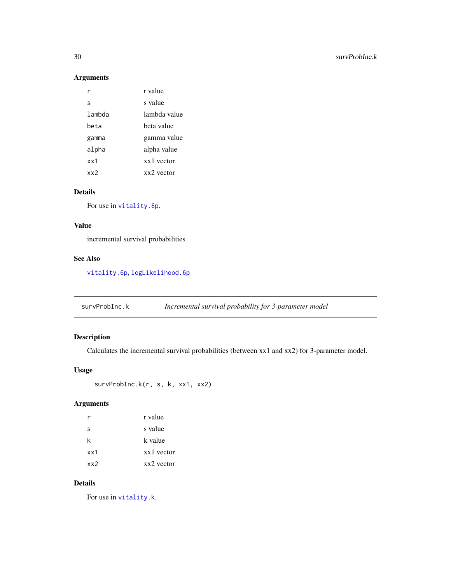### Arguments

|        | r value      |
|--------|--------------|
| S      | s value      |
| lambda | lambda value |
| beta   | beta value   |
| gamma  | gamma value  |
| alpha  | alpha value  |
| xx1    | xx1 yector   |
| xx2    | $xx2$ vector |

### Details

For use in [vitality.6p](#page-37-1).

#### Value

incremental survival probabilities

### See Also

[vitality.6p](#page-37-1), [logLikelihood.6p](#page-5-1)

<span id="page-29-1"></span>survProbInc.k *Incremental survival probability for 3-parameter model*

### Description

Calculates the incremental survival probabilities (between xx1 and xx2) for 3-parameter model.

#### Usage

```
survProbInc.k(r, s, k, xx1, xx2)
```
### Arguments

| r   | r value      |
|-----|--------------|
| S   | s value      |
| k   | k value      |
| xx1 | xx1 vector   |
| xx2 | $xx2$ vector |

### Details

For use in [vitality.k](#page-40-1).

<span id="page-29-0"></span>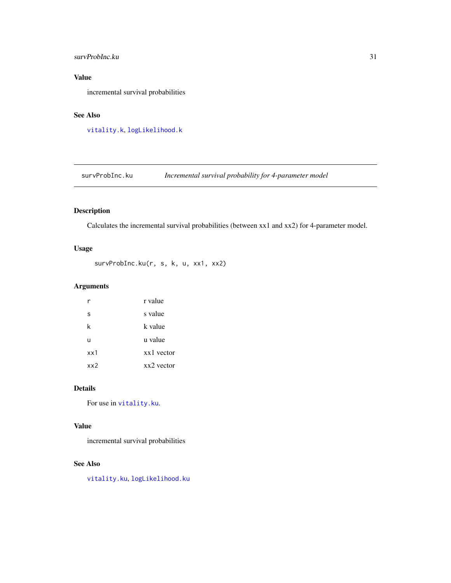### <span id="page-30-0"></span>survProbInc.ku 31

### Value

incremental survival probabilities

### See Also

[vitality.k](#page-40-1), [logLikelihood.k](#page-6-1)

<span id="page-30-1"></span>survProbInc.ku *Incremental survival probability for 4-parameter model*

### Description

Calculates the incremental survival probabilities (between xx1 and xx2) for 4-parameter model.

### Usage

survProbInc.ku(r, s, k, u, xx1, xx2)

### Arguments

|     | r value    |
|-----|------------|
| S   | s value    |
| k   | k value    |
| u   | u value    |
| xx1 | xx1 vector |
| xx2 | xx2 vector |

### Details

For use in [vitality.ku](#page-42-1).

### Value

incremental survival probabilities

#### See Also

[vitality.ku](#page-42-1), [logLikelihood.ku](#page-6-2)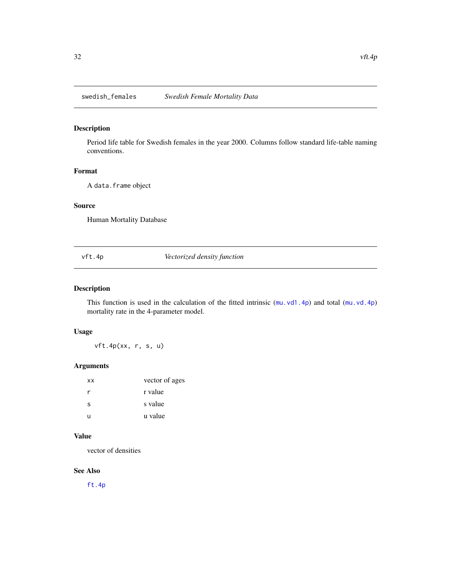<span id="page-31-0"></span>

Period life table for Swedish females in the year 2000. Columns follow standard life-table naming conventions.

#### Format

A data.frame object

#### Source

Human Mortality Database

<span id="page-31-1"></span>vft.4p *Vectorized density function*

### Description

This function is used in the calculation of the fitted intrinsic ([mu.vd1.4p](#page-8-1)) and total ([mu.vd.4p](#page-7-1)) mortality rate in the 4-parameter model.

### Usage

vft.4p(xx, r, s, u)

#### Arguments

| ХX | vector of ages |
|----|----------------|
| r  | r value        |
| S  | s value        |
| u  | u value        |

#### Value

vector of densities

#### See Also

[ft.4p](#page-3-2)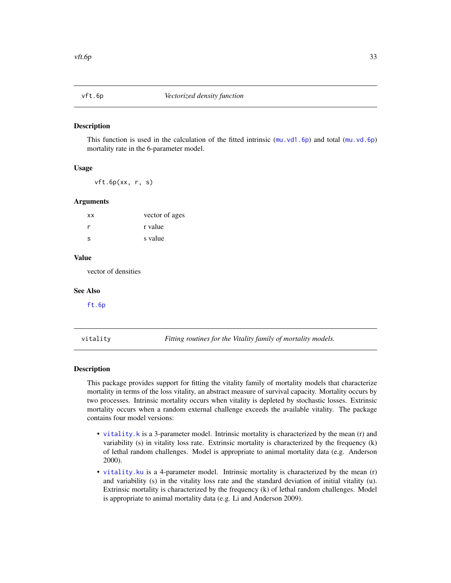<span id="page-32-1"></span><span id="page-32-0"></span>

This function is used in the calculation of the fitted intrinsic  $(mu \cdot v d1.6p)$  and total  $(mu \cdot v d.6p)$ mortality rate in the 6-parameter model.

#### Usage

vft.6p(xx, r, s)

#### Arguments

| vector of ages |
|----------------|
| r value        |
| s value        |
|                |

#### Value

vector of densities

#### See Also

[ft.6p](#page-3-1)

vitality *Fitting routines for the Vitality family of mortality models.*

#### **Description**

This package provides support for fitting the vitality family of mortality models that characterize mortality in terms of the loss vitality, an abstract measure of survival capacity. Mortality occurs by two processes. Intrinsic mortality occurs when vitality is depleted by stochastic losses. Extrinsic mortality occurs when a random external challenge exceeds the available vitality. The package contains four model versions:

- [vitality.k](#page-40-1) is a 3-parameter model. Intrinsic mortality is characterized by the mean (r) and variability (s) in vitality loss rate. Extrinsic mortality is characterized by the frequency (k) of lethal random challenges. Model is appropriate to animal mortality data (e.g. Anderson 2000).
- [vitality.ku](#page-42-1) is a 4-parameter model. Intrinsic mortality is characterized by the mean (r) and variability (s) in the vitality loss rate and the standard deviation of initial vitality (u). Extrinsic mortality is characterized by the frequency (k) of lethal random challenges. Model is appropriate to animal mortality data (e.g. Li and Anderson 2009).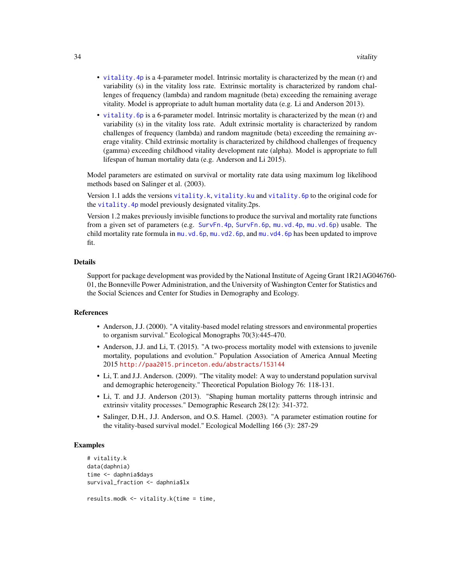- <span id="page-33-0"></span>• [vitality.4p](#page-35-1) is a 4-parameter model. Intrinsic mortality is characterized by the mean (r) and variability (s) in the vitality loss rate. Extrinsic mortality is characterized by random challenges of frequency (lambda) and random magnitude (beta) exceeding the remaining average vitality. Model is appropriate to adult human mortality data (e.g. Li and Anderson 2013).
- [vitality.6p](#page-37-1) is a 6-parameter model. Intrinsic mortality is characterized by the mean (r) and variability (s) in the vitality loss rate. Adult extrinsic mortality is characterized by random challenges of frequency (lambda) and random magnitude (beta) exceeding the remaining average vitality. Child extrinsic mortality is characterized by childhood challenges of frequency (gamma) exceeding childhood vitality development rate (alpha). Model is appropriate to full lifespan of human mortality data (e.g. Anderson and Li 2015).

Model parameters are estimated on survival or mortality rate data using maximum log likelihood methods based on Salinger et al. (2003).

Version 1.1 adds the versions [vitality.k](#page-40-1), [vitality.ku](#page-42-1) and [vitality.6p](#page-37-1) to the original code for the vitality. 4p model previously designated vitality. 2ps.

Version 1.2 makes previously invisible functions to produce the survival and mortality rate functions from a given set of parameters (e.g. [SurvFn.4p](#page-20-1), [SurvFn.6p](#page-21-1), [mu.vd.4p](#page-7-1), [mu.vd.6p](#page-8-2)) usable. The child mortality rate formula in [mu.vd.6p](#page-8-2), [mu.vd2.6p](#page-10-2), and [mu.vd4.6p](#page-12-1) has been updated to improve fit.

#### Details

Support for package development was provided by the National Institute of Ageing Grant 1R21AG046760- 01, the Bonneville Power Administration, and the University of Washington Center for Statistics and the Social Sciences and Center for Studies in Demography and Ecology.

#### References

- Anderson, J.J. (2000). "A vitality-based model relating stressors and environmental properties to organism survival." Ecological Monographs 70(3):445-470.
- Anderson, J.J. and Li, T. (2015). "A two-process mortality model with extensions to juvenile mortality, populations and evolution." Population Association of America Annual Meeting 2015 <http://paa2015.princeton.edu/abstracts/153144>
- Li, T. and J.J. Anderson. (2009). "The vitality model: A way to understand population survival and demographic heterogeneity." Theoretical Population Biology 76: 118-131.
- Li, T. and J.J. Anderson (2013). "Shaping human mortality patterns through intrinsic and extrinsiv vitality processes." Demographic Research 28(12): 341-372.
- Salinger, D.H., J.J. Anderson, and O.S. Hamel. (2003). "A parameter estimation routine for the vitality-based survival model." Ecological Modelling 166 (3): 287-29

#### Examples

```
# vitality.k
data(daphnia)
time <- daphnia$days
survival_fraction <- daphnia$lx
results.modk <- vitality.k(time = time,
```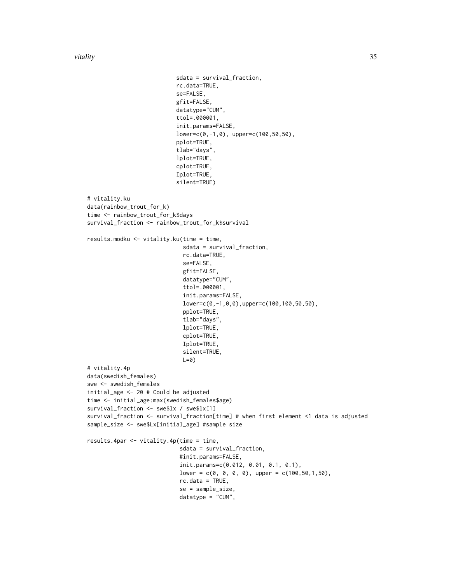vitality 35

```
sdata = survival_fraction,
                           rc.data=TRUE,
                           se=FALSE,
                           gfit=FALSE,
                           datatype="CUM",
                           ttol=.000001,
                           init.params=FALSE,
                           lower=c(0,-1,0), upper=c(100,50,50),
                           pplot=TRUE,
                           tlab="days",
                           lplot=TRUE,
                           cplot=TRUE,
                           Iplot=TRUE,
                           silent=TRUE)
# vitality.ku
data(rainbow_trout_for_k)
time <- rainbow_trout_for_k$days
survival_fraction <- rainbow_trout_for_k$survival
results.modku <- vitality.ku(time = time,
                             sdata = survival_fraction,
                             rc.data=TRUE,
                             se=FALSE,
                             gfit=FALSE,
                             datatype="CUM",
                             ttol=.000001,
                             init.params=FALSE,
                             lower=c(0,-1,0,0),upper=c(100,100,50,50),
                             pplot=TRUE,
                             tlab="days",
                             lplot=TRUE,
                             cplot=TRUE,
                             Iplot=TRUE,
                             silent=TRUE,
                             L=0)
# vitality.4p
data(swedish_females)
swe <- swedish_females
initial_age <- 20 # Could be adjusted
time <- initial_age:max(swedish_females$age)
survival_fraction <- swe$lx / swe$lx[1]
survival_fraction <- survival_fraction[time] # when first element <1 data is adjusted
sample_size <- swe$Lx[initial_age] #sample size
results.4par <- vitality.4p(time = time,
                            sdata = survival_fraction,
                            #init.params=FALSE,
                            init.params=c(0.012, 0.01, 0.1, 0.1),
                            lower = c(0, 0, 0, 0), upper = c(100, 50, 1, 50),
                            rc.data = TRUE,
                            se = sample_size,
                            datatype = "CUM",
```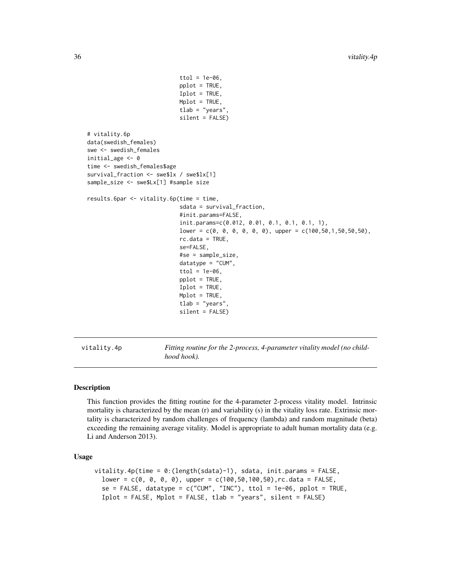```
ttol = 1e-06,
                             pplot = TRUE,
                             Iplot = TRUE,
                             Mplot = TRUE,
                             tlab = "years",
                             silent = FALSE)
# vitality.6p
data(swedish_females)
swe <- swedish_females
initial_age <- 0
time <- swedish_females$age
survival_fraction <- swe$lx / swe$lx[1]
sample_size <- swe$Lx[1] #sample size
results.6par <- vitality.6p(time = time,
                             sdata = survival_fraction,
                             #init.params=FALSE,
                             init.params=c(0.012, 0.01, 0.1, 0.1, 0.1, 1),
                             lower = c(0, 0, 0, 0, 0, 0, 0), upper = c(100, 50, 1, 50, 50, 50),
                             rc.data = TRUE,se=FALSE,
                             #se = sample_size,
                             datatype = "CUM",
                             ttol = 1e-06,
                             pplot = TRUE,
                             Iplot = TRUE,
                             Mplot = TRUE,
                             tlab = "years",
                             silent = FALSE)
```
<span id="page-35-1"></span>vitality.4p *Fitting routine for the 2-process, 4-parameter vitality model (no childhood hook).*

#### Description

This function provides the fitting routine for the 4-parameter 2-process vitality model. Intrinsic mortality is characterized by the mean (r) and variability (s) in the vitality loss rate. Extrinsic mortality is characterized by random challenges of frequency (lambda) and random magnitude (beta) exceeding the remaining average vitality. Model is appropriate to adult human mortality data (e.g. Li and Anderson 2013).

```
vitality.4p(time = 0:(length(sdata)-1), sdata, init.params = FALSE,
  lower = c(0, 0, 0, 0), upper = c(100, 50, 100, 50), rc.data = FALSE,
  se = FALSE, datatype = c("CUM", "INC"), totol = 1e-06, pplot = TRUE,Iplot = FALSE, Mplot = FALSE, tlab = "years", silent = FALSE)
```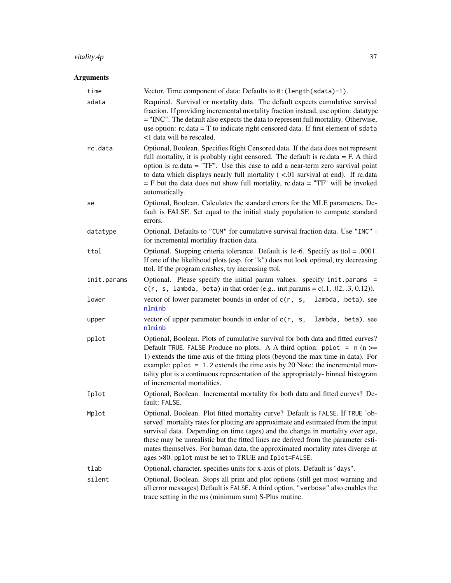### <span id="page-36-0"></span>vitality.4p 37

### Arguments

| time        | Vector. Time component of data: Defaults to 0: (length(sdata)-1).                                                                                                                                                                                                                                                                                                                                                                                                                   |
|-------------|-------------------------------------------------------------------------------------------------------------------------------------------------------------------------------------------------------------------------------------------------------------------------------------------------------------------------------------------------------------------------------------------------------------------------------------------------------------------------------------|
| sdata       | Required. Survival or mortality data. The default expects cumulative survival<br>fraction. If providing incremental mortality fraction instead, use option: datatype<br>= "INC". The default also expects the data to represent full mortality. Otherwise,<br>use option: rc.data = T to indicate right censored data. If first element of sdata<br><1 data will be rescaled.                                                                                                       |
| rc.data     | Optional, Boolean. Specifies Right Censored data. If the data does not represent<br>full mortality, it is probably right censored. The default is $rc.data = F. A third$<br>option is rc.data = "TF". Use this case to add a near-term zero survival point<br>to data which displays nearly full mortality $(<.01$ survival at end). If rc.data<br>$=$ F but the data does not show full mortality, rc.data $=$ "TF" will be invoked<br>automatically.                              |
| se          | Optional, Boolean. Calculates the standard errors for the MLE parameters. De-<br>fault is FALSE. Set equal to the initial study population to compute standard<br>errors.                                                                                                                                                                                                                                                                                                           |
| datatype    | Optional. Defaults to "CUM" for cumulative survival fraction data. Use "INC" -<br>for incremental mortality fraction data.                                                                                                                                                                                                                                                                                                                                                          |
| ttol        | Optional. Stopping criteria tolerance. Default is 1e-6. Specify as ttol = $.0001$ .<br>If one of the likelihood plots (esp. for "k") does not look optimal, try decreasing<br>ttol. If the program crashes, try increasing ttol.                                                                                                                                                                                                                                                    |
| init.params | Optional. Please specify the initial param values. specify init.params =<br>$c(r, s, lambda, beta)$ in that order (e.g init.params = $c(0.1, 0.02, 0.3, 0.12)$ ).                                                                                                                                                                                                                                                                                                                   |
| lower       | vector of lower parameter bounds in order of $c(r, s)$ ,<br>lambda, beta). see<br>nlminb                                                                                                                                                                                                                                                                                                                                                                                            |
| upper       | vector of upper parameter bounds in order of $c(r, s)$ ,<br>lambda, beta). see<br>nlminb                                                                                                                                                                                                                                                                                                                                                                                            |
| pplot       | Optional, Boolean. Plots of cumulative survival for both data and fitted curves?<br>Default TRUE. FALSE Produce no plots. A A third option: pplot = $n (n >=$<br>1) extends the time axis of the fitting plots (beyond the max time in data). For<br>example: $pplot = 1.2$ extends the time axis by 20 Note: the incremental mor-<br>tality plot is a continuous representation of the appropriately- binned histogram<br>of incremental mortalities.                              |
| Iplot       | Optional, Boolean. Incremental mortality for both data and fitted curves? De-<br>fault: FALSE.                                                                                                                                                                                                                                                                                                                                                                                      |
| Mplot       | Optional, Boolean. Plot fitted mortality curve? Default is FALSE. If TRUE 'ob-<br>served' mortality rates for plotting are approximate and estimated from the input<br>survival data. Depending on time (ages) and the change in mortality over age,<br>these may be unrealistic but the fitted lines are derived from the parameter esti-<br>mates themselves. For human data, the approximated mortality rates diverge at<br>ages >80. pplot must be set to TRUE and Iplot=FALSE. |
| tlab        | Optional, character. specifies units for x-axis of plots. Default is "days".                                                                                                                                                                                                                                                                                                                                                                                                        |
| silent      | Optional, Boolean. Stops all print and plot options (still get most warning and<br>all error messages) Default is FALSE. A third option, "verbose" also enables the<br>trace setting in the ms (minimum sum) S-Plus routine.                                                                                                                                                                                                                                                        |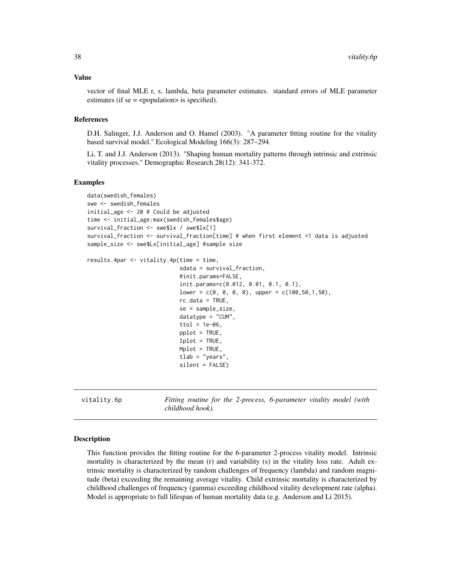#### <span id="page-37-0"></span>Value

vector of final MLE r, s, lambda, beta parameter estimates. standard errors of MLE parameter estimates (if  $se =$  <population > is specified).

#### References

D.H. Salinger, J.J. Anderson and O. Hamel (2003). "A parameter fitting routine for the vitality based survival model." Ecological Modeling 166(3): 287–294.

Li, T. and J.J. Anderson (2013). "Shaping human mortality patterns through intrinsic and extrinsic vitality processes." Demographic Research 28(12): 341-372.

#### Examples

```
data(swedish_females)
swe <- swedish_females
initial_age <- 20 # Could be adjusted
time <- initial_age:max(swedish_females$age)
survival_fraction <- swe$lx / swe$lx[1]
survival_fraction <- survival_fraction[time] # when first element <1 data is adjusted
sample_size <- swe$Lx[initial_age] #sample size
results.4par \le vitality.4p(time = time,
                            sdata = survival_fraction,
                            #init.params=FALSE,
                            init.params=c(0.012, 0.01, 0.1, 0.1),
                            lower = c(0, 0, 0, 0), upper = c(100, 50, 1, 50),
                            rc.data = TRUE,se = sample_size,
                            datatype = "CUM",
                            ttol = 1e-06,
                            pplot = TRUE,
                            Iplot = TRUE,
                            Mplot = TRUE,tlab = "years"silent = FALSE)
```
<span id="page-37-1"></span>vitality.6p *Fitting routine for the 2-process, 6-parameter vitality model (with childhood hook).*

#### Description

This function provides the fitting routine for the 6-parameter 2-process vitality model. Intrinsic mortality is characterized by the mean (r) and variability (s) in the vitality loss rate. Adult extrinsic mortality is characterized by random challenges of frequency (lambda) and random magnitude (beta) exceeding the remaining average vitality. Child extrinsic mortality is characterized by childhood challenges of frequency (gamma) exceeding childhood vitality development rate (alpha). Model is appropriate to full lifespan of human mortality data (e.g. Anderson and Li 2015).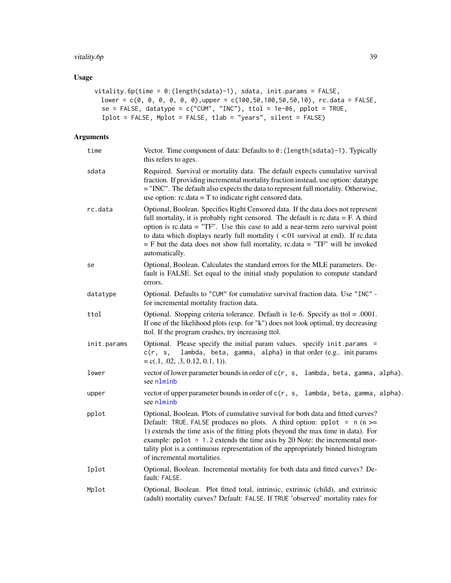#### <span id="page-38-0"></span>vitality.6p 39

### Usage

```
vitality.6p(time = 0:(length(sdata)-1), sdata, init.params = FALSE,
 lower = c(0, 0, 0, 0, 0, 0),upper = c(100,50,100,50,50,10), rc.data = FALSE,
 se = FALSE, datatype = c("CUM", "INC"), tot = 1e-06, pplot = TRUE,Iplot = FALSE, Mplot = FALSE, tlab = "years", silent = FALSE)
```
### Arguments

| time        | Vector. Time component of data: Defaults to 0: (length (sdata)-1). Typically<br>this refers to ages.                                                                                                                                                                                                                                                                                                                                                    |
|-------------|---------------------------------------------------------------------------------------------------------------------------------------------------------------------------------------------------------------------------------------------------------------------------------------------------------------------------------------------------------------------------------------------------------------------------------------------------------|
| sdata       | Required. Survival or mortality data. The default expects cumulative survival<br>fraction. If providing incremental mortality fraction instead, use option: datatype<br>= "INC". The default also expects the data to represent full mortality. Otherwise,<br>use option: $rc.data = T$ to indicate right censored data.                                                                                                                                |
| rc.data     | Optional, Boolean. Specifies Right Censored data. If the data does not represent<br>full mortality, it is probably right censored. The default is $rc.data = F. A third$<br>option is rc.data = "TF". Use this case to add a near-term zero survival point<br>to data which displays nearly full mortality $($ <.01 survival at end). If rc.data<br>$=$ F but the data does not show full mortality, rc.data $=$ "TF" will be invoked<br>automatically. |
| se          | Optional, Boolean. Calculates the standard errors for the MLE parameters. De-<br>fault is FALSE. Set equal to the initial study population to compute standard<br>errors.                                                                                                                                                                                                                                                                               |
| datatype    | Optional. Defaults to "CUM" for cumulative survival fraction data. Use "INC" -<br>for incremental mortality fraction data.                                                                                                                                                                                                                                                                                                                              |
| ttol        | Optional. Stopping criteria tolerance. Default is 1e-6. Specify as ttol = .0001.<br>If one of the likelihood plots (esp. for "k") does not look optimal, try decreasing<br>ttol. If the program crashes, try increasing ttol.                                                                                                                                                                                                                           |
| init.params | Optional. Please specify the initial param values. specify init.params =<br>c(r, s, lambda, beta, gamma, alpha) in that order (e.g. init.params<br>$= c(.1, .02, .3, 0.12, 0.1, 1)).$                                                                                                                                                                                                                                                                   |
| lower       | vector of lower parameter bounds in order of c(r, s, lambda, beta, gamma, alpha).<br>see nlminb                                                                                                                                                                                                                                                                                                                                                         |
| upper       | vector of upper parameter bounds in order of c(r, s, lambda, beta, gamma, alpha).<br>see nlminb                                                                                                                                                                                                                                                                                                                                                         |
| pplot       | Optional, Boolean. Plots of cumulative survival for both data and fitted curves?<br>Default: TRUE. FALSE produces no plots. A third option: pplot = $n (n >=$<br>1) extends the time axis of the fitting plots (beyond the max time in data). For<br>example: pplot = 1.2 extends the time axis by 20 Note: the incremental mor-<br>tality plot is a continuous representation of the appropriately binned histogram<br>of incremental mortalities.     |
| Iplot       | Optional, Boolean. Incremental mortality for both data and fitted curves? De-<br>fault: FALSE.                                                                                                                                                                                                                                                                                                                                                          |
| Mplot       | Optional, Boolean. Plot fitted total, intrinsic, extrinsic (child), and extrinsic<br>(adult) mortality curves? Default: FALSE. If TRUE 'observed' mortality rates for                                                                                                                                                                                                                                                                                   |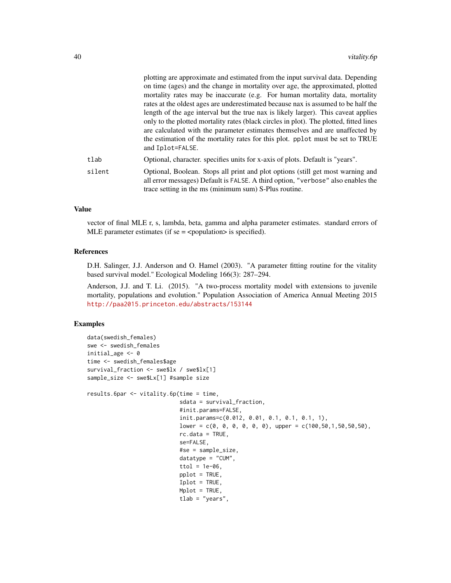|        | plotting are approximate and estimated from the input survival data. Depending<br>on time (ages) and the change in mortality over age, the approximated, plotted<br>mortality rates may be inaccurate (e.g. For human mortality data, mortality<br>rates at the oldest ages are underestimated because nax is assumed to be half the                               |
|--------|--------------------------------------------------------------------------------------------------------------------------------------------------------------------------------------------------------------------------------------------------------------------------------------------------------------------------------------------------------------------|
|        | length of the age interval but the true nax is likely larger). This caveat applies<br>only to the plotted mortality rates (black circles in plot). The plotted, fitted lines<br>are calculated with the parameter estimates themselves and are unaffected by<br>the estimation of the mortality rates for this plot. pplot must be set to TRUE<br>and Iplot=FALSE. |
| tlab   | Optional, character. specifies units for x-axis of plots. Default is "years".                                                                                                                                                                                                                                                                                      |
| silent | Optional, Boolean. Stops all print and plot options (still get most warning and<br>all error messages) Default is FALSE. A third option, "verbose" also enables the<br>trace setting in the ms (minimum sum) S-Plus routine.                                                                                                                                       |

### Value

vector of final MLE r, s, lambda, beta, gamma and alpha parameter estimates. standard errors of MLE parameter estimates (if  $se =$  <population > is specified).

### References

D.H. Salinger, J.J. Anderson and O. Hamel (2003). "A parameter fitting routine for the vitality based survival model." Ecological Modeling 166(3): 287–294.

Anderson, J.J. and T. Li. (2015). "A two-process mortality model with extensions to juvenile mortality, populations and evolution." Population Association of America Annual Meeting 2015 <http://paa2015.princeton.edu/abstracts/153144>

#### Examples

```
data(swedish_females)
swe <- swedish_females
initial_age <- 0
time <- swedish_females$age
survival_fraction <- swe$lx / swe$lx[1]
sample_size <- swe$Lx[1] #sample size
results.6par <- vitality.6p(time = time,
                            sdata = survival_fraction,
                            #init.params=FALSE,
                            init.params=c(0.012, 0.01, 0.1, 0.1, 0.1, 1),
                            lower = c(0, 0, 0, 0, 0, 0), upper = c(100, 50, 1, 50, 50, 50),
                            rc.data = TRUE,
                            se=FALSE,
                            #se = sample_size,
                            datatype = "CUM",
                            ttol = 1e-06,
                            pplot = TRUE,
                            Iplot = TRUE,
                            Mplot = TRUE,
                            tlab = "years",
```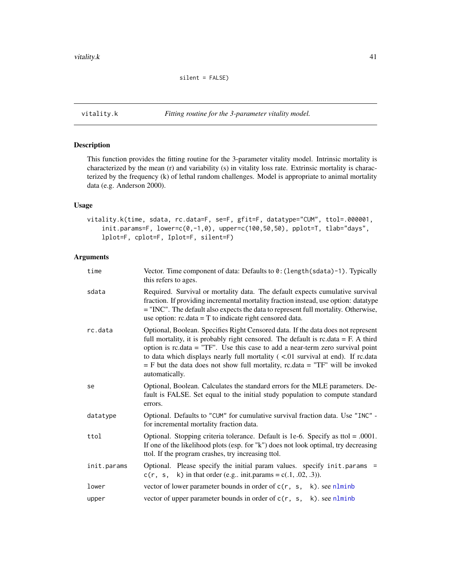<span id="page-40-1"></span><span id="page-40-0"></span>

This function provides the fitting routine for the 3-parameter vitality model. Intrinsic mortality is characterized by the mean (r) and variability (s) in vitality loss rate. Extrinsic mortality is characterized by the frequency (k) of lethal random challenges. Model is appropriate to animal mortality data (e.g. Anderson 2000).

#### Usage

```
vitality.k(time, sdata, rc.data=F, se=F, gfit=F, datatype="CUM", ttol=.000001,
    init.params=F, lower=c(0,-1,0), upper=c(100,50,50), pplot=T, tlab="days",
    lplot=F, cplot=F, Iplot=F, silent=F)
```
### Arguments

| time        | Vector. Time component of data: Defaults to 0: (length(sdata)-1). Typically<br>this refers to ages.                                                                                                                                                                                                                                                                                                                                                       |
|-------------|-----------------------------------------------------------------------------------------------------------------------------------------------------------------------------------------------------------------------------------------------------------------------------------------------------------------------------------------------------------------------------------------------------------------------------------------------------------|
| sdata       | Required. Survival or mortality data. The default expects cumulative survival<br>fraction. If providing incremental mortality fraction instead, use option: datatype<br>= "INC". The default also expects the data to represent full mortality. Otherwise,<br>use option: $rc.data = T$ to indicate right censored data.                                                                                                                                  |
| rc.data     | Optional, Boolean. Specifies Right Censored data. If the data does not represent<br>full mortality, it is probably right censored. The default is $rc.data = F. A third$<br>option is $rc.data = "TF"$ . Use this case to add a near-term zero survival point<br>to data which displays nearly full mortality $(<.01$ survival at end). If rc.data<br>$=$ F but the data does not show full mortality, rc.data $=$ "TF" will be invoked<br>automatically. |
| se          | Optional, Boolean. Calculates the standard errors for the MLE parameters. De-<br>fault is FALSE. Set equal to the initial study population to compute standard<br>errors.                                                                                                                                                                                                                                                                                 |
| datatype    | Optional. Defaults to "CUM" for cumulative survival fraction data. Use "INC" -<br>for incremental mortality fraction data.                                                                                                                                                                                                                                                                                                                                |
| ttol        | Optional. Stopping criteria tolerance. Default is 1e-6. Specify as ttol = $.0001$ .<br>If one of the likelihood plots (esp. for "k") does not look optimal, try decreasing<br>ttol. If the program crashes, try increasing ttol.                                                                                                                                                                                                                          |
| init.params | Optional. Please specify the initial param values. specify init.params =<br>$c(r, s, k)$ in that order (e.g., init.params = c(.1, .02, .3)).                                                                                                                                                                                                                                                                                                              |
| lower       | vector of lower parameter bounds in order of $c(r, s, k)$ . see nlminb                                                                                                                                                                                                                                                                                                                                                                                    |
| upper       | vector of upper parameter bounds in order of $c(r, s, k)$ . see nlminb                                                                                                                                                                                                                                                                                                                                                                                    |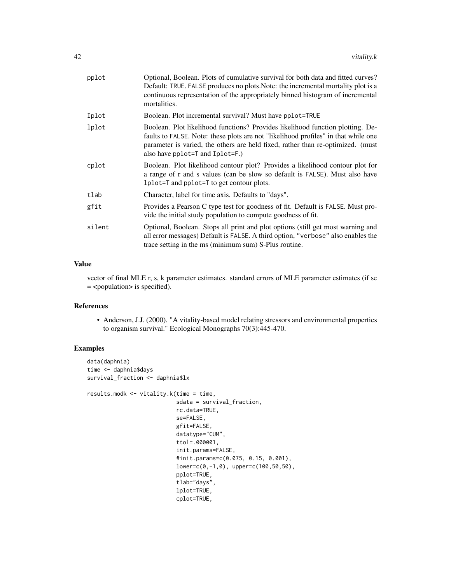| pplot  | Optional, Boolean. Plots of cumulative survival for both data and fitted curves?<br>Default: TRUE. FALSE produces no plots. Note: the incremental mortality plot is a<br>continuous representation of the appropriately binned histogram of incremental<br>mortalities.                    |
|--------|--------------------------------------------------------------------------------------------------------------------------------------------------------------------------------------------------------------------------------------------------------------------------------------------|
| Iplot  | Boolean. Plot incremental survival? Must have pplot=TRUE                                                                                                                                                                                                                                   |
| lplot  | Boolean. Plot likelihood functions? Provides likelihood function plotting. De-<br>faults to FALSE. Note: these plots are not "likelihood profiles" in that while one<br>parameter is varied, the others are held fixed, rather than re-optimized. (must<br>also have pplot=T and Iplot=F.) |
| cplot  | Boolean. Plot likelihood contour plot? Provides a likelihood contour plot for<br>a range of r and s values (can be slow so default is FALSE). Must also have<br>1 plot = T and pplot = T to get contour plots.                                                                             |
| tlab   | Character, label for time axis. Defaults to "days".                                                                                                                                                                                                                                        |
| gfit   | Provides a Pearson C type test for goodness of fit. Default is FALSE. Must pro-<br>vide the initial study population to compute goodness of fit.                                                                                                                                           |
| silent | Optional, Boolean. Stops all print and plot options (still get most warning and<br>all error messages) Default is FALSE. A third option, "verbose" also enables the<br>trace setting in the ms (minimum sum) S-Plus routine.                                                               |

#### Value

vector of final MLE r, s, k parameter estimates. standard errors of MLE parameter estimates (if se = <population> is specified).

#### References

• Anderson, J.J. (2000). "A vitality-based model relating stressors and environmental properties to organism survival." Ecological Monographs 70(3):445-470.

### Examples

```
data(daphnia)
time <- daphnia$days
survival_fraction <- daphnia$lx
results.modk <- vitality.k(time = time,
                           sdata = survival_fraction,
                           rc.data=TRUE,
                           se=FALSE,
                           gfit=FALSE,
                           datatype="CUM",
                           ttol=.000001,
                           init.params=FALSE,
                           #init.params=c(0.075, 0.15, 0.001),
                           lower=c(0,-1,0), upper=c(100,50,50),
                           pplot=TRUE,
                           tlab="days",
                           lplot=TRUE,
                           cplot=TRUE,
```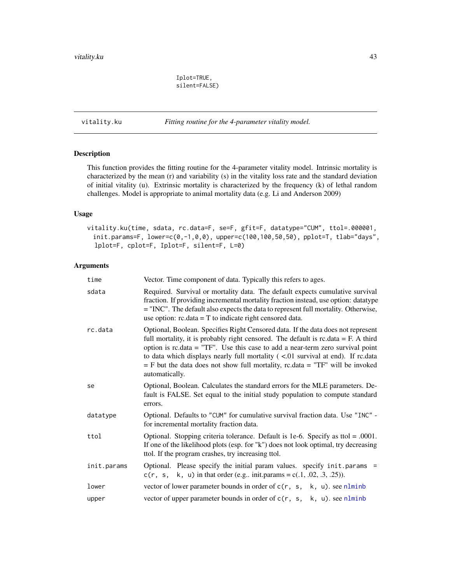Iplot=TRUE, silent=FALSE)

<span id="page-42-1"></span><span id="page-42-0"></span>vitality.ku *Fitting routine for the 4-parameter vitality model.*

#### Description

This function provides the fitting routine for the 4-parameter vitality model. Intrinsic mortality is characterized by the mean (r) and variability (s) in the vitality loss rate and the standard deviation of initial vitality (u). Extrinsic mortality is characterized by the frequency (k) of lethal random challenges. Model is appropriate to animal mortality data (e.g. Li and Anderson 2009)

### Usage

vitality.ku(time, sdata, rc.data=F, se=F, gfit=F, datatype="CUM", ttol=.000001,  $init.params = F$ ,  $lower = c(0, -1, 0, 0)$ ,  $upper = c(100, 100, 50, 50)$ ,  $pplot = T$ ,  $tlab="days"$ , lplot=F, cplot=F, Iplot=F, silent=F, L=0)

#### Arguments

| time        | Vector. Time component of data. Typically this refers to ages.                                                                                                                                                                                                                                                                                                                                                                                             |
|-------------|------------------------------------------------------------------------------------------------------------------------------------------------------------------------------------------------------------------------------------------------------------------------------------------------------------------------------------------------------------------------------------------------------------------------------------------------------------|
| sdata       | Required. Survival or mortality data. The default expects cumulative survival<br>fraction. If providing incremental mortality fraction instead, use option: datatype<br>= "INC". The default also expects the data to represent full mortality. Otherwise,<br>use option: $rc.data = T$ to indicate right censored data.                                                                                                                                   |
| rc.data     | Optional, Boolean. Specifies Right Censored data. If the data does not represent<br>full mortality, it is probably right censored. The default is $rc.data = F. A third$<br>option is $rc.data = "TF"$ . Use this case to add a near-term zero survival point<br>to data which displays nearly full mortality $($ <.01 survival at end). If rc.data<br>$=$ F but the data does not show full mortality, rc.data $=$ "TF" will be invoked<br>automatically. |
| se          | Optional, Boolean. Calculates the standard errors for the MLE parameters. De-<br>fault is FALSE. Set equal to the initial study population to compute standard<br>errors.                                                                                                                                                                                                                                                                                  |
| datatype    | Optional. Defaults to "CUM" for cumulative survival fraction data. Use "INC" -<br>for incremental mortality fraction data.                                                                                                                                                                                                                                                                                                                                 |
| ttol        | Optional. Stopping criteria tolerance. Default is 1e-6. Specify as ttol = $.0001$ .<br>If one of the likelihood plots (esp. for "k") does not look optimal, try decreasing<br>ttol. If the program crashes, try increasing ttol.                                                                                                                                                                                                                           |
| init.params | Optional. Please specify the initial param values. specify init.params =<br>$c(r, s, k, u)$ in that order (e.g init.params = c(.1, .02, .3, .25)).                                                                                                                                                                                                                                                                                                         |
| lower       | vector of lower parameter bounds in order of $c(r, s, k, u)$ . see nlminb                                                                                                                                                                                                                                                                                                                                                                                  |
| upper       | vector of upper parameter bounds in order of $c(r, s, k, u)$ . see nlminb                                                                                                                                                                                                                                                                                                                                                                                  |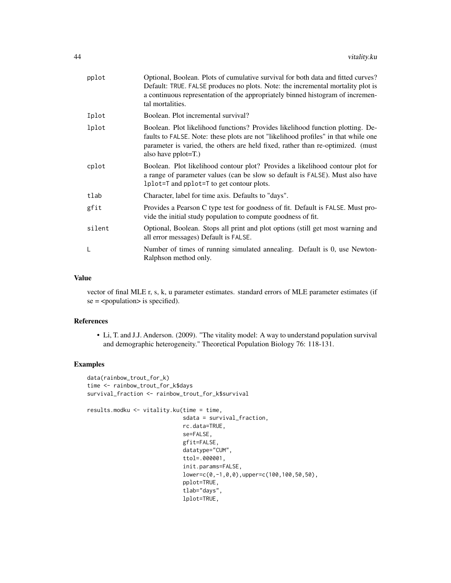| pplot  | Optional, Boolean. Plots of cumulative survival for both data and fitted curves?<br>Default: TRUE. FALSE produces no plots. Note: the incremental mortality plot is<br>a continuous representation of the appropriately binned histogram of incremen-<br>tal mortalities.      |
|--------|--------------------------------------------------------------------------------------------------------------------------------------------------------------------------------------------------------------------------------------------------------------------------------|
| Iplot  | Boolean. Plot incremental survival?                                                                                                                                                                                                                                            |
| lplot  | Boolean. Plot likelihood functions? Provides likelihood function plotting. De-<br>faults to FALSE. Note: these plots are not "likelihood profiles" in that while one<br>parameter is varied, the others are held fixed, rather than re-optimized. (must<br>also have pplot=T.) |
| cplot  | Boolean. Plot likelihood contour plot? Provides a likelihood contour plot for<br>a range of parameter values (can be slow so default is FALSE). Must also have<br>1p1ot=T and pp1ot=T to get contour plots.                                                                    |
| tlab   | Character, label for time axis. Defaults to "days".                                                                                                                                                                                                                            |
| gfit   | Provides a Pearson C type test for goodness of fit. Default is FALSE. Must pro-<br>vide the initial study population to compute goodness of fit.                                                                                                                               |
| silent | Optional, Boolean. Stops all print and plot options (still get most warning and<br>all error messages) Default is FALSE.                                                                                                                                                       |
| L      | Number of times of running simulated annealing. Default is 0, use Newton-<br>Ralphson method only.                                                                                                                                                                             |
|        |                                                                                                                                                                                                                                                                                |

#### Value

vector of final MLE r, s, k, u parameter estimates. standard errors of MLE parameter estimates (if  $se =$  <population > is specified).

#### References

• Li, T. and J.J. Anderson. (2009). "The vitality model: A way to understand population survival and demographic heterogeneity." Theoretical Population Biology 76: 118-131.

### Examples

```
data(rainbow_trout_for_k)
time <- rainbow_trout_for_k$days
survival_fraction <- rainbow_trout_for_k$survival
results.modku <- vitality.ku(time = time,
                             sdata = survival_fraction,
                             rc.data=TRUE,
                             se=FALSE,
                             gfit=FALSE,
                             datatype="CUM",
                             ttol=.000001,
                             init.params=FALSE,
                             lower=c(0,-1,0,0),upper=c(100,100,50,50),
                             pplot=TRUE,
                             tlab="days",
                             lplot=TRUE,
```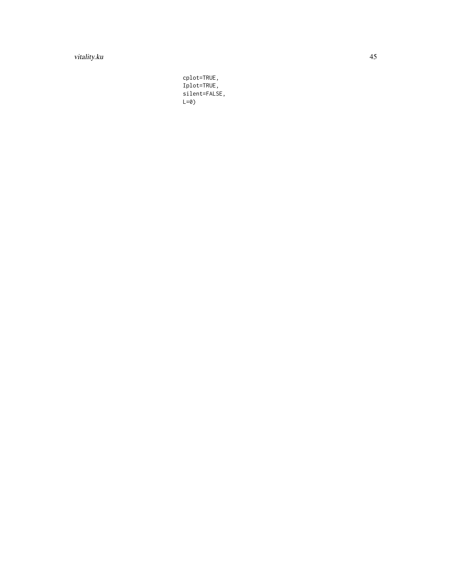### vitality.ku 45

cplot=TRUE, Iplot=TRUE, silent=FALSE, L=0)